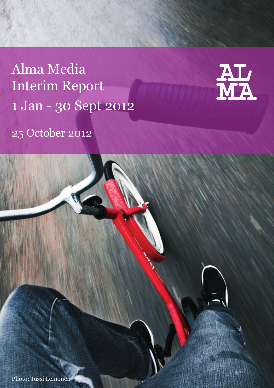Alma Media Interim Report 1 Jan - 30 Sept 2012



25 October 2012

Photo: Jussi Leinonen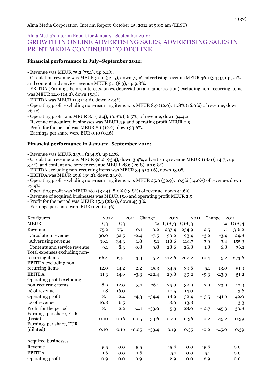# Alma Media's Interim Report for January - September 2012: GROWTH IN ONLINE ADVERTISING SALES, ADVERTISING SALES IN PRINT MEDIA CONTINUED TO DECLINE

## **Financial performance in July–September 2012:**

- Revenue was MEUR 75.2 (75.1), up o.2%.

- Circulation revenue was MEUR 30.0 (32.5), down 7.5%, advertising revenue MEUR 36.1 (34.3), up 5.1% and content and service revenue MEUR 9.1 (8.3), up 9.8%.

- EBITDA (Earnings before interests, taxes, depreciation and amortisation) excluding non-recurring items was MEUR 12.0 (14.2), down 15.3%

- EBITDA was MEUR 11.3 (14.6), down 22.4%.

- Operating profit excluding non-recurring items was MEUR 8.9 (12.0), 11.8% (16.0%) of revenue, down 26.1%.

- Operating profit was MEUR 8.1 (12.4), 10.8% (16.5%) of revenue, down 34.4%.

- Revenue of acquired businesses was MEUR 5.5 and operating profit MEUR 0.9.

- Profit for the period was MEUR 8.1 (12.2), down 33.6%.

- Earnings per share were EUR 0.10 (0.16).

#### **Financial performance in January–September 2012:**

- Revenue was MEUR 237.4 (234.9), up 1.1%.

- Circulation revenue was MEUR 90.2 (93.4), down 3.4%, advertising revenue MEUR 118.6 (114.7), up 3.4%, and content and service revenue MEUR 28.6 (26.8), up 6.8%.

- EBITDA excluding non-recurring items was MEUR 34.5 (39.6), down 13.0%.

- EBITDA was MEUR 29.8 (39.2), down 23.9%.

- Operating profit excluding non-recurring items was MEUR 25.0 (32.9), 10.5% (14.0%) of revenue, down 23.9%.

- Operating profit was MEUR 18.9 (32.4), 8.0% (13.8%) of revenue, down 41.6%.

- Revenue of acquired businesses was MEUR 15.6 and operating profit MEUR 2.9.

- Profit for the period was MEUR 15.3 (28.0), down 45.3%.

- Earnings per share were EUR 0.20 (0.36).

| Key figures                   | 2012           |                | 2011    | Change  | 2012    | 2011    |         | Change  | 2011    |
|-------------------------------|----------------|----------------|---------|---------|---------|---------|---------|---------|---------|
| <b>MEUR</b>                   | Q <sub>3</sub> | Q <sub>3</sub> |         | %       | $Q1-Q3$ | $Q1-Q3$ |         | %       | $Q1-Q4$ |
| Revenue                       | 75.2           | 75.1           | 0.1     | 0.2     | 237.4   | 234.9   | 2.5     | 1.1     | 316.2   |
| Circulation revenue           | 30.0           | 32.5           | $-2.4$  | $-7.5$  | 90.2    | 93.4    | $-3.2$  | $-3.4$  | 124.8   |
| Advertising revenue           | 36.1           | 34.3           | 1.8     | 5.1     | 118.6   | 114.7   | 3.9     | 3.4     | 155.3   |
| Contents and service revenue  | 9.1            | 8.3            | 0.8     | 9.8     | 28.6    | 26.8    | 1.8     | 6.8     | 36.1    |
| Total expenses excluding non- |                |                |         |         |         |         |         |         |         |
| recurring items               | 66.4           | 63.1           | 3.3     | 5.2     | 212.6   | 202.2   | 10.4    | 5.2     | 273.6   |
| EBITDA excluding non-         |                |                |         |         |         |         |         |         |         |
| recurring items               | 12.0           | 14.2           | $-2.2$  | $-15.3$ | 34.5    | 39.6    | $-5.1$  | $-13.0$ | 51.9    |
| <b>EBITDA</b>                 | 11.3           | 14.6           | $-3.3$  | $-22.4$ | 29.8    | 39.2    | $-9.3$  | $-23.9$ | 51.2    |
| Operating profit excluding    |                |                |         |         |         |         |         |         |         |
| non-recurring items           | 8.9            | 12.0           | $-3.1$  | $-26.1$ | 25.0    | 32.9    | $-7.9$  | $-23.9$ | 42.9    |
| % of revenue                  | 11.8           | 16.0           |         |         | 10.5    | 14.0    |         |         | 13.6    |
| Operating profit              | 8.1            | 12.4           | $-4.3$  | $-34.4$ | 18.9    | 32.4    | $-13.5$ | $-41.6$ | 42.0    |
| % of revenue                  | 10.8           | 16.5           |         |         | 8.0     | 13.8    |         |         | 13.3    |
| Profit for the period         | 8.1            | 12.2           | $-4.1$  | $-33.6$ | 15.3    | 28.0    | $-12.7$ | $-45.3$ | 30.8    |
| Earnings per share, EUR       |                |                |         |         |         |         |         |         |         |
| (basic)                       | 0.10           | 0.16           | $-0.05$ | $-33.6$ | 0.20    | 0.36    | $-0.2$  | $-45.2$ | 0.39    |
| Earnings per share, EUR       |                |                |         |         |         |         |         |         |         |
| (diluted)                     | 0.10           | 0.16           | $-0.05$ | $-33.4$ | 0.19    | 0.35    | $-0.2$  | $-45.0$ | 0.39    |
| Acquired businesses           |                |                |         |         |         |         |         |         |         |
| Revenue                       | 5.5            | 0.0            | 5.5     |         | 15.6    | 0.0     | 15.6    |         | 0.0     |
| <b>EBITDA</b>                 | 1.6            | 0.0            | 1.6     |         | 5.1     | 0.0     | 5.1     |         | 0.0     |
| Operating profit              | 0.9            | 0.0            | 0.9     |         | 2.9     | 0.0     | 2.9     |         | 0.0     |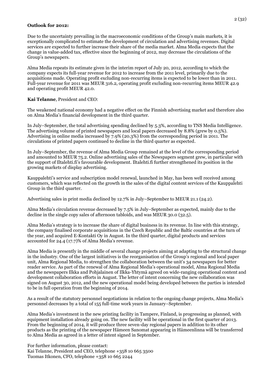#### **Outlook for 2012:**

Due to the uncertainty prevailing in the macroeconomic conditions of the Group's main markets, it is exceptionally complicated to estimate the development of circulation and advertising revenues. Digital services are expected to further increase their share of the media market. Alma Media expects that the change in value-added tax, effective since the beginning of 2012, may decrease the circulations of the Group's newspapers.

Alma Media repeats its estimate given in the interim report of July 20, 2012, according to which the company expects its full-year revenue for 2012 to increase from the 2011 level, primarily due to the acquisitions made. Operating profit excluding non-recurring items is expected to be lower than in 2011. Full-year revenue for 2011 was MEUR 316.2, operating profit excluding non-recurring items MEUR 42.9 and operating profit MEUR 42.0.

## **Kai Telanne**, President and CEO:

The weakened national economy had a negative effect on the Finnish advertising market and therefore also on Alma Media's financial development in the third quarter.

In July–September, the total advertising spending declined by 5.3%, according to TNS Media Intelligence. The advertising volume of printed newspapers and local papers decreased by 8.8% (grew by 0.5%). Advertising in online media increased by 7.9% (20.3%) from the corresponding period in 2011. The circulations of printed papers continued to decline in the third quarter as expected.

In July–September, the revenue of Alma Media Group remained at the level of the corresponding period and amounted to MEUR 75.2. Online advertising sales of the Newspapers segment grew, in particular with the support of Iltalehti.fi's favourable development. Iltalehti.fi further strengthened its position in the growing markets of display advertising.

Kauppalehti's service and subscription model renewal, launched in May, has been well received among customers, which was reflected on the growth in the sales of the digital content services of the Kauppalehti Group in the third quarter.

Advertising sales in print media declined by 12.7% in July–September to MEUR 21.1 (24.2).

Alma Media's circulation revenue decreased by 7.5% in July–September as expected, mainly due to the decline in the single copy sales of afternoon tabloids, and was MEUR 30.0 (32.5).

Alma Media's strategy is to increase the share of digital business in its revenue. In line with this strategy, the company finalised corporate acquisitions in the Czech Republic and the Baltic countries at the turn of the year, and acquired E-Kontakti Oy in August. In the third quarter, digital products and services accounted for 24.4 (17.7)% of Alma Media's revenue.

Alma Media is presently in the middle of several change projects aiming at adapting to the structural change in the industry. One of the largest initiatives is the reorganisation of the Group's regional and local paper unit, Alma Regional Media, to strengthen the collaboration between the unit's 34 newspapers for better reader service. As part of the renewal of Alma Regional Media's operational model, Alma Regional Media and the newspapers Ilkka and Pohjalainen of Ilkka-Yhtymä agreed on wide-ranging operational content and development collaboration efforts in August. The letter of intent concerning the new collaboration was signed on August 30, 2012, and the new operational model being developed between the parties is intended to be in full operation from the beginning of 2014.

As a result of the statutory personnel negotiations in relation to the ongoing change projects, Alma Media's personnel decreases by a total of 155 full-time work years in January–September.

Alma Media's investment in the new printing facility in Tampere, Finland, is progressing as planned, with equipment installation already going on. The new facility will be operational in the first quarter of 2013. From the beginning of 2014, it will produce three seven-day regional papers in addition to its other products as the printing of the newspaper Hämeen Sanomat appearing in Hämeenlinna will be transferred to Alma Media as agreed in a letter of intent signed in September.

For further information, please contact: Kai Telanne, President and CEO, telephone +358 10 665 3500 Tuomas Itkonen, CFO, telephone +358 10 665 2244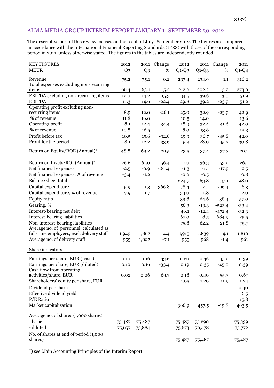## ALMA MEDIA GROUP INTERIM REPORT JANUARY 1–SEPTEMBER 30, 2012

The descriptive part of this review focuses on the result of July–September 2012. The figures are compared in accordance with the International Financial Reporting Standards (IFRS) with those of the corresponding period in 2011, unless otherwise stated. The figures in the tables are independently rounded.

| <b>KEY FIGURES</b>                                                          | 2012           | 2011           | Change   | 2012    | 2011    | Change   | 2011    |
|-----------------------------------------------------------------------------|----------------|----------------|----------|---------|---------|----------|---------|
| <b>MEUR</b>                                                                 | Q <sub>3</sub> | Q <sub>3</sub> | %        | $Q1-Q3$ | $Q1-Q3$ | %        | $Q1-Q4$ |
| Revenue                                                                     | 75.2           | 75.1           | 0.2      | 237.4   | 234.9   | 1.1      | 316.2   |
| Total expenses excluding non-recurring                                      |                |                |          |         |         |          |         |
| items                                                                       | 66.4           | 63.1           | 5.2      | 212.6   | 202.2   | 5.2      | 273.6   |
| EBITDA excluding non-recurring items                                        | 12.0           | 14.2           | $-15.3$  | 34.5    | 39.6    | $-13.0$  | 51.9    |
| <b>EBITDA</b>                                                               | 11.3           | 14.6           | $-22.4$  | 29.8    | 39.2    | $-23.9$  | 51.2    |
| Operating profit excluding non-                                             |                |                |          |         |         |          |         |
| recurring items                                                             | 8.9            | 12.0           | $-26.1$  | 25.0    | 32.9    | $-23.9$  | 42.9    |
| % of revenue                                                                | 11.8           | 16.0           |          | 10.5    | 14.0    |          | 13.6    |
| Operating profit                                                            | 8.1            | 12.4           | $-34.4$  | 18.9    | 32.4    | $-41.6$  | 42.0    |
| % of revenue                                                                | 10.8           | 16.5           |          | 8.0     | 13.8    |          | 13.3    |
| Profit before tax                                                           | 10.5           | 15.6           | $-32.6$  | 19.9    | 36.7    | $-45.8$  | 42.0    |
| Profit for the period                                                       | 8.1            | 12.2           | $-33.6$  | 15.3    | 28.0    | $-45.3$  | 30.8    |
| Return on Equity/ROE (Annual)*                                              | 48.8           | 69.2           | $-29.5$  | 23.5    | 37.4    | $-37.3$  | 29.1    |
| Return on Invets/ROI (Annual)*                                              | 26.6           | 61.0           | $-56.4$  | 17.0    | 36.3    | $-53.2$  | 26.1    |
| Net financial expenses                                                      | $-2.5$         | $-0.9$         | $-181.4$ | $-1.3$  | $-1.1$  | $-17.9$  | 2.5     |
| Net financial expenses, % of revenue                                        | $-3.4$         | $-1.2$         |          | $-0.6$  | $-0.5$  |          | 0.8     |
| Balance sheet total                                                         |                |                |          | 224.7   | 163.8   | 37.1     | 198.0   |
| Capital expenditure                                                         | 5.9            | 1.3            | 366.8    | 78.4    | 4.1     | 1796.4   | 6.3     |
| Capital expenditure, % of revenue                                           | 7.9            | 1.7            |          | 33.0    | 1.8     |          | 2.0     |
| Equity ratio                                                                |                |                |          | 39.8    | 64.6    | $-38.4$  |         |
|                                                                             |                |                |          |         |         |          | 57.0    |
| Gearing, %                                                                  |                |                |          | 56.3    | $-13.3$ | $-523.4$ | $-33.4$ |
| Interest-bearing net debt                                                   |                |                |          | 46.1    | $-12.4$ | $-472.4$ | $-32.3$ |
| Interest-bearing liabilities                                                |                |                |          | 67.0    | 8.5     | 684.9    | 25.5    |
| Non-interest-bearing liabilities<br>Average no. of personnel, calculated as |                |                |          | 75.8    | 62.2    | 21.8     | 75.7    |
| full-time employees, excl. delivery staff                                   | 1,949          | 1,867          | 4.4      | 1,915   | 1,839   | 4.1      | 1,816   |
| Average no. of delivery staff                                               | 955            | 1,027          | $-7.1$   | 955     | 968     | $-1.4$   | 961     |
|                                                                             |                |                |          |         |         |          |         |
| Share indicators                                                            |                |                |          |         |         |          |         |
| Earnings per share, EUR (basic)                                             | 0.10           | 0.16           | $-33.6$  | 0.20    | 0.36    | $-45.2$  | 0.39    |
| Earnings per share, EUR (diluted)                                           | 0.10           | 0.16           | $-33.4$  | 0.19    | 0.35    | $-45.0$  | 0.39    |
| Cash flow from operating                                                    |                |                |          |         |         |          |         |
| activities/share, EUR                                                       | 0.02           | 0.06           | $-69.7$  | 0.18    | 0.40    | $-55.3$  | 0.67    |
| Shareholders' equity per share, EUR                                         |                |                |          | 1.05    | 1.20    | $-11.9$  | 1.24    |
| Dividend per share                                                          |                |                |          |         |         |          | 0.40    |
| Effective dividend yield                                                    |                |                |          |         |         |          | 6.5     |
| $P/E$ Ratio                                                                 |                |                |          |         |         |          | 15.8    |
| Market capitalization                                                       |                |                |          | 366.9   | 457.5   | $-19.8$  | 463.5   |
|                                                                             |                |                |          |         |         |          |         |
| Average no. of shares (1,000 shares)                                        |                |                |          |         |         |          |         |
| - basic                                                                     | 75,487         | 75,487         |          | 75,487  | 75,290  |          | 75,339  |
| - diluted                                                                   | 75,657         | 75,884         |          | 75,673  | 76,478  |          | 75,772  |
| No. of shares at end of period (1,000)                                      |                |                |          |         |         |          |         |
| shares)                                                                     |                |                |          | 75,487  | 75,487  |          | 75,487  |

\*) see Main Accounting Principles of the Interim Report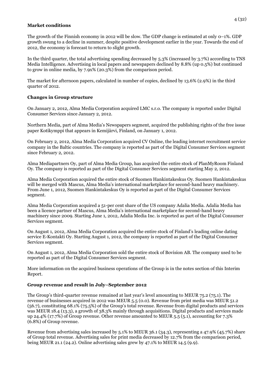#### **Market conditions**

The growth of the Finnish economy in 2012 will be slow. The GDP change is estimated at only 0–1%. GDP growth swung to a decline in summer, despite positive development earlier in the year. Towards the end of 2012, the economy is forecast to return to slight growth.

In the third quarter, the total advertising spending decreased by 5.3% (increased by 3.7%) according to TNS Media Intelligence. Advertising in local papers and newspapers declined by 8.8% (up 0.5%) but continued to grow in online media, by 7.9x% (20.3%) from the comparison period.

The market for afternoon papers, calculated in number of copies, declined by 13.6% (2.9%) in the third quarter of 2012.

## **Changes in Group structure**

On January 2, 2012, Alma Media Corporation acquired LMC s.r.o. The company is reported under Digital Consumer Services since January 2, 2012.

Northern Media, part of Alma Media's Newspapers segment, acquired the publishing rights of the free issue paper Kotikymppi that appears in Kemijärvi, Finland, on January 1, 2012.

On February 2, 2012, Alma Media Corporation acquired CV Online, the leading internet recruitment service company in the Baltic countries. The company is reported as part of the Digital Consumer Services segment since February 2, 2012.

Alma Mediapartners Oy, part of Alma Media Group, has acquired the entire stock of PlanMyRoom Finland Oy. The company is reported as part of the Digital Consumer Services segment starting May 2, 2012.

Alma Media Corporation acquired the entire stock of Suomen Hankintakeskus Oy. Suomen Hankintakeskus will be merged with Mascus, Alma Media's international marketplace for second-hand heavy machinery. From June 1, 2012, Suomen Hankintakeskus Oy is reported as part of the Digital Consumer Services segment.

Alma Media Corporation acquired a 51-per cent share of the US company Adalia Media. Adalia Media has been a licence partner of Mascus, Alma Media's international marketplace for second-hand heavy machinery since 2009. Starting June 1, 2012, Adalia Media Inc. is reported as part of the Digital Consumer Services segment.

On August 1, 2012, Alma Media Corporation acquired the entire stock of Finland's leading online dating service E-Kontakti Oy. Starting August 1, 2012, the company is reported as part of the Digital Consumer Services segment.

On August 1, 2012, Alma Media Corporation sold the entire stock of Bovision AB. The company used to be reported as part of the Digital Consumer Services segment.

More information on the acquired business operations of the Group is in the notes section of this Interim Report.

## **Group revenue and result in July–September 2012**

The Group's third-quarter revenue remained at last year's level amounting to MEUR 75.2 (75.1). The revenue of businesses acquired in 2012 was MEUR 5.5 (0.0). Revenue from print media was MEUR 51.2 (56.7), constituting 68.1% (75.5%) of the Group's total revenue. Revenue from digital products and services was MEUR 18.4 (13.3), a growth of 38.3% mainly through acquisitions. Digital products and services made up 24.4% (17.7%) of Group revenue. Other revenue amounted to MEUR 5.5 (5.1), accounting for 7.3% (6.8%) of Group revenue.

Revenue from advertising sales increased by 5.1% to MEUR 36.1 (34.3), representing a 47.9% (45.7%) share of Group total revenue. Advertising sales for print media decreased by 12.7% from the comparison period, being MEUR 21.1 (24.2). Online advertising sales grew by  $47.1\%$  to MEUR 14.5 (9.9).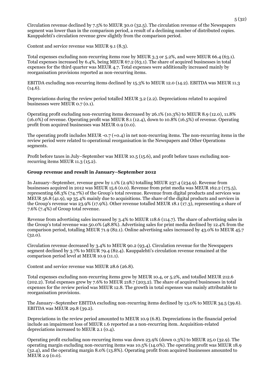Circulation revenue declined by 7.5% to MEUR 30.0 (32.5). The circulation revenue of the Newspapers segment was lower than in the comparison period, a result of a declining number of distributed copies. Kauppalehti's circulation revenue grew slightly from the comparison period.

Content and service revenue was MEUR 9.1 (8.3).

Total expenses excluding non-recurring items rose by MEUR 3.3 or 5.2%, and were MEUR 66.4 (63.1). Total expenses increased by 6.4%, being MEUR 67.2 (63.1). The share of acquired businesses in total expenses for the third quarter was MEUR 4.7. Total expenses were additionally increased mainly by reorganisation provisions reported as non-recurring items.

EBITDA excluding non-recurring items declined by 15.3% to MEUR 12.0 (14.2). EBITDA was MEUR 11.3  $(14.6).$ 

Depreciations during the review period totalled MEUR 3.2 (2.2). Depreciations related to acquired businesses were MEUR 0.7 (0.1).

Operating profit excluding non-recurring items decreased by 26.1% (10.3%) to MEUR 8.9 (12.0), 11.8% (16.0%) of revenue. Operating profit was MEUR 8.1 (12.4), down to 10.8% (16.5%) of revenue. Operating profit from acquired businesses was MEUR 0.9 (0.0).

The operating profit includes MEUR  $-0.7 (+0.4)$  in net non-recurring items. The non-recurring items in the review period were related to operational reorganisation in the Newspapers and Other Operations segments.

Profit before taxes in July–September was MEUR 10.5 (15.6), and profit before taxes excluding nonrecurring items MEUR 11.3 (15.2).

#### **Group revenue and result in January–September 2012**

In January–September, revenue grew by 1.1% (2.9%) totalling MEUR 237.4 (234.9). Revenue from businesses acquired in 2012 was MEUR 15.6 (0.0). Revenue from print media was MEUR 162.2 (175.5), representing 68.3% (74.7%) of the Group's total revenue. Revenue from digital products and services was MEUR 56.8 (41.9), up 35.4% mainly due to acquisitions. The share of the digital products and services in the Group's revenue was 23.9% (17.9%). Other revenue totalled MEUR 18.1 (17.3), representing a share of 7.6% (7.4%) of Group total revenue.

Revenue from advertising sales increased by 3.4% to MEUR 118.6 (114.7). The share of advertising sales in the Group's total revenue was 50.0% (48.8%). Advertising sales for print media declined by 12.4% from the comparison period, totalling MEUR 71.9 (82.1). Online advertising sales increased by 43.0% to MEUR 45.7  $(32.0).$ 

Circulation revenue decreased by 3.4% to MEUR 90.2 (93.4). Circulation revenue for the Newspapers segment declined by 3.7% to MEUR 79.4 (82.4). Kauppalehti's circulation revenue remained at the comparison period level at MEUR 10.9 (11.1).

Content and service revenue was MEUR 28.6 (26.8).

Total expenses excluding non-recurring items grew by MEUR 10.4, or 5.2%, and totalled MEUR 212.6 (202.2). Total expenses grew by 7.6% to MEUR 218.7 (203.2). The share of acquired businesses in total expenses for the review period was MEUR 12.8. The growth in total expenses was mainly attributable to reorganisation provisions.

The January–September EBITDA excluding non-recurring items declined by 13.0% to MEUR 34.5 (39.6). EBITDA was MEUR 29.8 (39.2).

Depreciations in the review period amounted to MEUR 10.9 (6.8). Depreciations in the financial period include an impairment loss of MEUR 1.6 reported as a non-recurring item. Acquisition-related depreciations increased to MEUR 2.1 (0.4).

Operating profit excluding non-recurring items was down 23.9% (down 0.3%) to MEUR 25.0 (32.9). The operating margin excluding non-recurring items was 10.5% (14.0%). The operating profit was MEUR 18.9 (32.4), and the operating margin 8.0% (13.8%). Operating profit from acquired businesses amounted to MEUR 2.9 (0.0).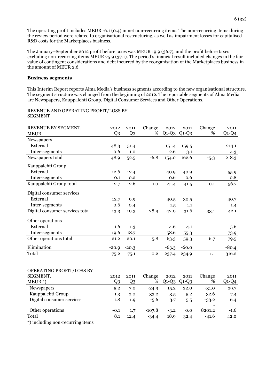The operating profit includes MEUR -6.1 (0.4) in net non-recurring items. The non-recurring items during the review period were related to organisational restructuring, as well as impairment losses for capitalised R&D costs for the Marketplaces business.

The January–September 2012 profit before taxes was MEUR 19.9 (36.7), and the profit before taxes excluding non-recurring items MEUR 25.9 (37.1). The period's financial result included changes in the fair value of contingent considerations and debt incurred by the reorganisation of the Marketplaces business in the amount of MEUR 2.6.

## **Business segments**

This Interim Report reports Alma Media's business segments according to the new organisational structure. The segment structure was changed from the beginning of 2012. The reportable segments of Alma Media are Newspapers, Kauppalehti Group, Digital Consumer Services and Other Operations.

#### REVENUE AND OPERATING PROFIT/LOSS BY SEGMENT

| REVENUE BY SEGMENT,             | 2012    | 2011           | Change | 2012    | 2011    | Change | 2011    |
|---------------------------------|---------|----------------|--------|---------|---------|--------|---------|
| <b>MEUR</b>                     | Q3      | Q <sub>3</sub> | %      | $Q1-Q3$ | $Q1-Q3$ | %      | $Q1-Q4$ |
| Newspapers                      |         |                |        |         |         |        |         |
| External                        | 48.3    | 51.4           |        | 151.4   | 159.5   |        | 214.1   |
| Inter-segments                  | 0.6     | 1.0            |        | 2.6     | 3.1     |        | 4.3     |
| Newspapers total                | 48.9    | 52.5           | $-6.8$ | 154.0   | 162.6   | $-5.3$ | 218.3   |
| Kauppalehti Group               |         |                |        |         |         |        |         |
| External                        | 12.6    | 12.4           |        | 40.9    | 40.9    |        | 55.9    |
| Inter-segments                  | 0.1     | 0.2            |        | 0.6     | 0.6     |        | 0.8     |
| Kauppalehti Group total         | 12.7    | 12.6           | 1.0    | 41.4    | 41.5    | $-0.1$ | 56.7    |
| Digital consumer services       |         |                |        |         |         |        |         |
| External                        | 12.7    | 9.9            |        | 40.5    | 30.5    |        | 40.7    |
| Inter-segments                  | 0.6     | 0.4            |        | 1.5     | 1.1     |        | 1.4     |
| Digital consumer services total | 13.3    | 10.3           | 28.9   | 42.0    | 31.6    | 33.1   | 42.1    |
| Other operations                |         |                |        |         |         |        |         |
| External                        | 1.6     | 1.3            |        | 4.6     | 4.1     |        | 5.6     |
| Inter-segments                  | 19.6    | 18.7           |        | 58.6    | 55.3    |        | 73.9    |
| Other operations total          | 21.2    | 20.1           | 5.8    | 63.3    | 59.3    | 6.7    | 79.5    |
| Elimination                     | $-20.9$ | $-20.3$        |        | $-63.3$ | $-60.0$ |        | $-80.4$ |
| Total                           | 75.2    | 75.1           | 0.2    | 237.4   | 234.9   | 1.1    | 316.2   |
|                                 |         |                |        |         |         |        |         |

## OPERATING PROFIT/LOSS BY

| SEGMENT,                  | 2012   | 2011 | Change   | 2012    | 2011    | Change          | 2011    |
|---------------------------|--------|------|----------|---------|---------|-----------------|---------|
| $MEUR^*$                  | Q3     | Q3   | %        | $Q1-Q3$ | $Q1-Q3$ | %               | $Q1-Q4$ |
| Newspapers                | 5.2    | 7.0  | $-24.9$  | 15.2    | 22.0    | $-31.0$         | 29.7    |
| Kauppalehti Group         | 1.3    | 2.0  | $-33.2$  | 3.5     | 5.2     | $-32.6$         | 7.4     |
| Digital consumer services | 1.8    | 1.9  | $-5.6$   | 3.7     | 5.5     | $-33.2$         | 6.4     |
|                           |        |      |          |         |         | $\qquad \qquad$ |         |
| Other operations          | $-0.1$ | 1.7  | $-107.8$ | $-3.2$  | 0.0     | 8201.2          | $-1.6$  |
| Total                     | 8.1    | 12.4 | $-34.4$  | 18.9    | 32.4    | $-41.6$         | 42.0    |
|                           |        |      |          |         |         |                 |         |

\*) including non-recurring items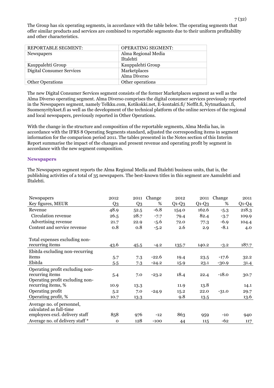The Group has six operating segments, in accordance with the table below. The operating segments that offer similar products and services are combined to reportable segments due to their uniform profitability and other characteristics.

| <b>REPORTABLE SEGMENT:</b>       | <b>OPERATING SEGMENT:</b> |
|----------------------------------|---------------------------|
| <b>Newspapers</b>                | Alma Regional Media       |
|                                  | Iltalehti                 |
| Kauppalehti Group                | Kauppalehti Group         |
| <b>Digital Consumer Services</b> | Marketplaces              |
|                                  | Alma Diverso              |
| <b>Other Operations</b>          | Other operations          |

The new Digital Consumer Services segment consists of the former Marketplaces segment as well as the Alma Diverso operating segment. Alma Diverso comprises the digital consumer services previously reported in the Newspapers segment, namely Telkku.com, Kotikokki.net, E-kontakti.fi/ Neffit.fi, Nytmatkaan.fi, Suomenyritykset.fi as well as the development of the technical platform of the online services of the regional and local newspapers, previously reported in Other Operations.

With the change in the structure and composition of the reportable segments, Alma Media has, in accordance with the IFRS 8 Operating Segments standard, adjusted the corresponding items in segment information for the comparison period 2011. The tables presented in the Notes section of this Interim Report summarise the impact of the changes and present revenue and operating profit by segment in accordance with the new segment composition.

#### **Newspapers**

The Newspapers segment reports the Alma Regional Media and Iltalehti business units, that is, the publishing activities of a total of 35 newspapers. The best-known titles in this segment are Aamulehti and Iltalehti.

| Newspapers                                           | 2012        | 2011           | Change  | 2012    | 2011    | Change  | 2011    |
|------------------------------------------------------|-------------|----------------|---------|---------|---------|---------|---------|
| Key figures, MEUR                                    | Q3          | Q <sub>3</sub> | %       | $Q1-Q3$ | $Q1-Q3$ | %       | $Q1-Q4$ |
| Revenue                                              | 48.9        | 52.5           | $-6.8$  | 154.0   | 162.6   | $-5.3$  | 218.3   |
| Circulation revenue                                  | 26.5        | 28.7           | $-7.7$  | 79.4    | 82.4    | $-3.7$  | 109.9   |
| Advertising revenue                                  | 21.7        | 22.9           | $-5.6$  | 72.0    | 77.3    | $-6.9$  | 104.4   |
| Content and service revenue                          | 0.8         | 0.8            | $-5.2$  | 2.6     | 2.9     | $-8.1$  | 4.0     |
| Total expenses excluding non-                        |             |                |         |         |         |         |         |
| recurring items                                      | 43.6        | 45.5           | $-4.2$  | 135.7   | 140.2   | $-3.2$  | 187.7   |
| Ebitda excluding non-recurring                       |             |                |         |         |         |         |         |
| items                                                | 5.7         | 7.3            | $-22.6$ | 19.4    | 23.5    | $-17.6$ | 32.2    |
| Ebitda                                               | 5.5         | 7.3            | $-24.2$ | 15.9    | 23.1    | $-30.9$ | 31.4    |
| Operating profit excluding non-                      |             |                |         |         |         |         |         |
| recurring items                                      | 5.4         | 7.0            | $-23.2$ | 18.4    | 22.4    | $-18.0$ | 30.7    |
| Operating profit excluding non-                      |             |                |         |         |         |         |         |
| recurring items, %                                   | 10.9        | 13.3           |         | 11.9    | 13.8    |         | 14.1    |
| Operating profit                                     | 5.2         | 7.0            | $-24.9$ | 15.2    | 22.0    | $-31.0$ | 29.7    |
| Operating profit, %                                  | 10.7        | 13.3           |         | 9.8     | 13.5    |         | 13.6    |
| Average no. of personnel,<br>calculated as full-time |             |                |         |         |         |         |         |
| employees excl. delivery staff                       | 858         | 976            | $-12$   | 863     | 959     | $-10$   | 940     |
| Average no. of delivery staff *                      | $\mathbf 0$ | 128            | $-100$  | 44      | 115     | -62     | 117     |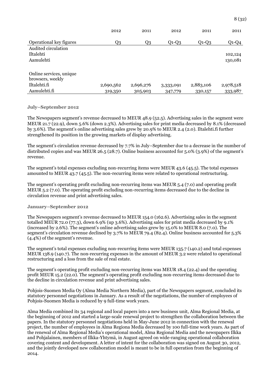|                         | 2012      | 2011      | 2012      | 2011      | 2011      |
|-------------------------|-----------|-----------|-----------|-----------|-----------|
| Operational key figures | Q3        | Q3        | $Q1-Q3$   | $Q1-Q3$   | $Q1-Q4$   |
| Audited circulation     |           |           |           |           |           |
| Iltalehti               |           |           |           |           | 102,124   |
| Aamulehti               |           |           |           |           | 130,081   |
|                         |           |           |           |           |           |
| Online services, unique |           |           |           |           |           |
| browsers, weekly        |           |           |           |           |           |
| Iltalehti.fi            | 2,690,562 | 2,696,276 | 3,333,091 | 2,883,106 | 2,978,518 |
| Aamulehti.fi            | 319,350   | 305,903   | 347,779   | 330,157   | 333,987   |

#### **July–September 2012**

The Newspapers segment's revenue decreased to MEUR 48.9 (52.5). Advertising sales in the segment were MEUR 21.7 (22.9), down 5.6% (down 2.3%). Advertising sales for print media decreased by 8.1% (decreased by 3.6%). The segment's online advertising sales grew by 20.9% to MEUR 2.4 (2.0). Iltalehti.fi further strengthened its position in the growing markets of display advertising.

The segment's circulation revenue decreased by 7.7% in July–September due to a decrease in the number of distributed copies and was MEUR 26.5 (28.7). Online business accounted for 5.0% (3.9%) of the segment's revenue.

The segment's total expenses excluding non-recurring items were MEUR 43.6 (45.5). The total expenses amounted to MEUR 43.7 (45.5). The non-recurring items were related to operational restructuring.

The segment's operating profit excluding non-recurring items was MEUR 5.4 (7.0) and operating profit MEUR 5.2 (7.0). The operating profit excluding non-recurring items decreased due to the decline in circulation revenue and print advertising sales.

#### **January–September 2012**

The Newspapers segment's revenue decreased to MEUR 154.0 (162.6). Advertising sales in the segment totalled MEUR 72.0 (77.3), down 6.9% (up 3.6%). Advertising sales for print media decreased by 9.1% (increased by 2.6%). The segment's online advertising sales grew by 15.0% to MEUR 8.0 (7.0). The segment's circulation revenue declined by 3.7% to MEUR 79.4 (82.4). Online business accounted for 5.3% (4.4%) of the segment's revenue.

The segment's total expenses excluding non-recurring items were MEUR 135.7 (140.2) and total expenses MEUR 138.9 (140.7). The non-recurring expenses in the amount of MEUR 3.2 were related to operational restructuring and a loss from the sale of real estate.

The segment's operating profit excluding non-recurring items was MEUR 18.4 (22.4) and the operating profit MEUR 15.2 (22.0). The segment's operating profit excluding non-recurring items decreased due to the decline in circulation revenue and print advertising sales.

Pohjois-Suomen Media Oy (Alma Media Northern Media), part of the Newspapers segment, concluded its statutory personnel negotiations in January. As a result of the negotiations, the number of employees of Pohjois-Suomen Media is reduced by 9 full-time work years.

Alma Media combined its 34 regional and local papers into a new business unit, Alma Regional Media, at the beginning of 2012 and started a large-scale renewal project to strengthen the collaboration between the papers. In the statutory personnel negotiations held in May-June 2012 in connection with the renewal project, the number of employees in Alma Regiona Media decreased by 100 full-time work years. As part of the renewal of Alma Regional Media's operational model, Alma Regional Media and the newspapers Ilkka and Pohjalainen, members of Ilkka-Yhtymä, in August agreed on wide-ranging operational collaboration covering content and development. A letter of intent for the collaboration was signed on August 30, 2012, and the jointly developed new collaboration model is meant to be in full operation from the beginning of 2014.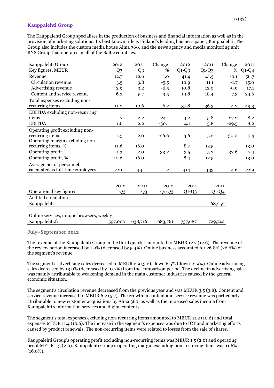#### **Kauppalehti Group**

The Kauppalehti Group specialises in the production of business and financial information as well as in the provision of marketing solutions. Its best known title is Finland's leading business paper, Kauppalehti. The Group also includes the custom media house Alma 360, and the news agency and media monitoring unit BNS Group that operates in all of the Baltic countries.

| Kauppalehti Group                        | 2012           | 2011           | Change  | 2012    | 2011    | Change  | 2011    |
|------------------------------------------|----------------|----------------|---------|---------|---------|---------|---------|
| Key figures, MEUR                        | Q <sub>3</sub> | Q <sub>3</sub> | %       | $Q1-Q3$ | $Q1-Q3$ | %       | $Q1-Q4$ |
| Revenue                                  | 12.7           | 12.6           | 1.0     | 41.4    | 41.5    | $-0.1$  | 56.7    |
| Circulation revenue                      | 3.5            | 3.8            | $-5.5$  | 10.9    | 11.1    | $-1.7$  | 15.0    |
| Advertising revenue                      | 2.9            | 3.2            | $-6.5$  | 10.8    | 12.0    | $-9.9$  | 17.1    |
| Content and service revenue              | 6.2            | 5.7            | 9.5     | 19.8    | 18.4    | 7.3     | 24.6    |
| Total expenses excluding non-            |                |                |         |         |         |         |         |
| recurring items                          | 11.2           | 10.6           | 6.2     | 37.8    | 36.3    | 4.2     | 49.3    |
| EBITDA excluding non-recurring           |                |                |         |         |         |         |         |
| items                                    | 1.7            | 2.2            | $-24.1$ | 4.2     | 5.8     | $-27.2$ | 8.2     |
| <b>EBITDA</b>                            | 1.6            | 2.2            | $-30.1$ | 4.1     | 5.8     | $-29.5$ | 8.2     |
| Operating profit excluding non-          |                |                |         |         |         |         |         |
| recurring items                          | 1.5            | 2.0            | $-26.6$ | 3.6     | 5.2     | $-30.0$ | 7.4     |
| Operating margin excluding non-          |                |                |         |         |         |         |         |
| recurring items, %                       | 11.6           | 16.0           |         | 8.7     | 12.5    |         | 13.0    |
| Operating profit                         | 1.3            | 2.0            | $-33.2$ | 3.5     | 5.2     | $-32.6$ | 7.4     |
| Operating profit, %                      | 10.6           | 16.0           |         | 8.4     | 12.5    |         | 13.0    |
| Average no. of personnel,                |                |                |         |         |         |         |         |
| calculated as full-time employees        | 421            | 431            | $-2$    | 414     | 433     | $-4.6$  | 429     |
|                                          |                |                |         |         |         |         |         |
|                                          |                |                |         |         |         |         |         |
|                                          | 2012           | 2011           | 2012    | 2011    |         | 2011    |         |
| Operational key figures                  | Q <sub>3</sub> | Q <sub>3</sub> | $Q1-Q3$ | $Q1-Q3$ |         | $Q1-Q4$ |         |
| Audited circulation                      |                |                |         |         |         |         |         |
| Kauppalehti                              |                |                |         |         |         | 68,252  |         |
|                                          |                |                |         |         |         |         |         |
| Online services, unique browsers, weekly |                |                |         |         |         |         |         |
| Kauppalehti.fi                           | 597,000        | 638,716        | 683,761 | 737,687 | 729,742 |         |         |

**July–September 2012**

The revenue of the Kauppalehti Group in the third quarter amounted to MEUR 12.7 (12.6). The revenue of the review period increased by 1.0% (decreased by 5.4%). Online business accounted for 26.8% (26.6%) of the segment's revenue.

The segment's advertising sales decreased to MEUR 2.9 (3.2), down 6.5% (down 12.9%). Online advertising sales decreased by 13.0% (decreased by 10.7%) from the comparison period. The decline in advertising sales was mainly attributable to weakening demand in the main customer industries caused by the general economic situation.

The segment's circulation revenue decreased from the previous year and was MEUR 3.5 (3.8). Content and service revenue increased to MEUR 6.2 (5.7). The growth in content and service revenue was particularly attributable to new customer acquisitions by Alma 360, as well as the increased sales income from Kauppalehti's information services and digital contents.

The segment's total expenses excluding non-recurring items amounted to MEUR 11.2 (10.6) and total expenses MEUR 11.4 (10.6). The increase in the segment's expenses was due to ICT and marketing efforts caused by product renewals. The non-recurring items were related to losses from the sale of shares.

Kauppalehti Group's operating profit excluding non-recurring items was MEUR 1.5 (2.0) and operating profit MEUR 1.3 (2.0). Kauppalehti Group's operating margin excluding non-recurring items was 11.6% (16.0%).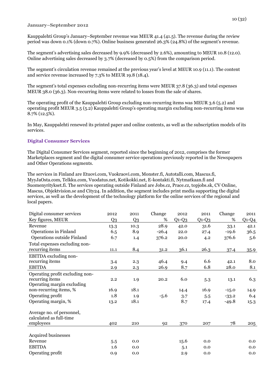#### **January–September 2012**

Kauppalehti Group's January–September revenue was MEUR 41.4 (41.5). The revenue during the review period was down 0.1% (down 0.7%). Online business generated 26.3% (24.8%) of the segment's revenue.

The segment's advertising sales decreased by 9.9% (decreased by 2.6%), amounting to MEUR 10.8 (12.0). Online advertising sales decreased by 3.7% (decreased by 0.5%) from the comparison period.

The segment's circulation revenue remained at the previous year's level at MEUR 10.9 (11.1). The content and service revenue increased by 7.3% to MEUR 19.8 (18.4).

The segment's total expenses excluding non-recurring items were MEUR 37.8 (36.3) and total expenses MEUR 38.0 (36.3). Non-recurring items were related to losses from the sale of shares.

The operating profit of the Kauppalehti Group excluding non-recurring items was MEUR 3.6 (5.2) and operating profit MEUR 3.5 (5.2) Kauppalehti Group's operating margin excluding non-recurring items was 8.7% (12.5%).

In May, Kauppalehti renewed its printed paper and online contents, as well as the subscription models of its services.

## **Digital Consumer Services**

The Digital Consumer Services segment, reported since the beginning of 2012, comprises the former Marketplaces segment and the digital consumer service operations previously reported in the Newspapers and Other Operations segments.

The services in Finland are Etuovi.com, Vuokraovi.com, Monster.fi, Autotalli.com, Mascus.fi, MyyJaOsta.com, Telkku.com, Vuodatus.net, Kotikokki.net, E-kontakti.fi, Nytmatkaan.fi and Suomenyritykset.fi. The services operating outside Finland are Jobs.cz, Prace.cz, topjobs.sk, CV Online, Mascus, Objektvision.se and City24. In addition, the segment includes print media supporting the digital services, as well as the development of the technology platform for the online services of the regional and local papers.

| Digital consumer services       | 2012           | 2011           | Change  | 2012    | 2011    | Change  | 2011    |
|---------------------------------|----------------|----------------|---------|---------|---------|---------|---------|
| Key figures, MEUR               | Q <sub>3</sub> | Q <sub>3</sub> | %       | $Q1-Q3$ | $Q1-Q3$ | %       | $Q1-Q4$ |
| Revenue                         | 13.3           | 10.3           | 28.9    | 42.0    | 31.6    | 33.1    | 42.1    |
| <b>Operations in Finland</b>    | 6.5            | 8.9            | $-26.4$ | 22.0    | 27.4    | $-19.6$ | 36.5    |
| Operations outside Finland      | 6.7            | 1.4            | 376.2   | 20.0    | 4.2     | 376.6   | 5.6     |
| Total expenses excluding non-   |                |                |         |         |         |         |         |
| recurring items                 | 11.1           | 8.4            | 31.2    | 36.1    | 26.3    | 37.4    | 35.9    |
| EBITDA excluding non-           |                |                |         |         |         |         |         |
| recurring items                 | 3.4            | 2.3            | 46.4    | 9.4     | 6.6     | 42.1    | 8.0     |
| <b>EBITDA</b>                   | 2.9            | 2.3            | 26.9    | 8.7     | 6.8     | 28.0    | 8.1     |
| Operating profit excluding non- |                |                |         |         |         |         |         |
| recurring items                 | 2.2            | 1.9            | 20.2    | 6.0     | 5.3     | 13.1    | 6.3     |
| Operating margin excluding      |                |                |         |         |         |         |         |
| non-recurring items, %          | 16.9           | 18.1           |         | 14.4    | 16.9    | $-15.0$ | 14.9    |
| Operating profit                | 1.8            | 1.9            | $-5.6$  | 3.7     | 5.5     | $-33.2$ | 6.4     |
| Operating margin, %             | 13.2           | 18.1           |         | 8.7     | 17.4    | $-49.8$ | 15.3    |
| Average no. of personnel,       |                |                |         |         |         |         |         |
| calculated as full-time         |                |                |         |         |         |         |         |
| employees                       | 402            | 210            | 92      | 370     | 207     | 78      | 205     |
|                                 |                |                |         |         |         |         |         |
| <b>Acquired businesses</b>      |                |                |         |         |         |         |         |
| Revenue                         | 5.5            | 0.0            |         | 15.6    | 0.0     |         | 0.0     |
| <b>EBITDA</b>                   | 1.6            | 0.0            |         | 5.1     | 0.0     |         | 0.0     |
| Operating profit                | 0.9            | 0.0            |         | 2.9     | 0.0     |         | 0.0     |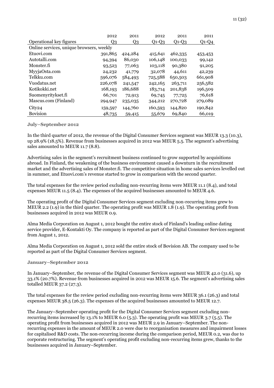|                                          | 2012    | 2011           | 2012    | 2011    | 2011    |  |  |  |  |
|------------------------------------------|---------|----------------|---------|---------|---------|--|--|--|--|
| Operational key figures                  | Q3      | Q <sub>3</sub> | $Q1-Q3$ | $Q1-Q3$ | $Q1-Q4$ |  |  |  |  |
| Online services, unique browsers, weekly |         |                |         |         |         |  |  |  |  |
| Etuovi.com                               | 391,865 | 424,284        | 415,641 | 462,335 | 453,453 |  |  |  |  |
| Autotalli.com                            | 94,394  | 86,030         | 106,148 | 100,033 | 99,142  |  |  |  |  |
| Monster.fi                               | 93,523  | 77,063         | 103,118 | 90,380  | 91,205  |  |  |  |  |
| MyyjaOsta.com                            | 24,232  | 41,779         | 32,078  | 44,611  | 42,239  |  |  |  |  |
| Telkku.com                               | 596,076 | 584,493        | 725,588 | 650,503 | 661,908 |  |  |  |  |
| Vuodatus.net                             | 226,078 | 241,547        | 242,165 | 263,711 | 256,582 |  |  |  |  |
| Kotikokki.net                            | 168,193 | 186,688        | 183,714 | 201,838 | 196,509 |  |  |  |  |
| Suomenyritykset.fi                       | 66,701  | 72,913         | 69,745  | 77,725  | 76,618  |  |  |  |  |
| Mascus.com (Finland)                     | 294,947 | 235,035        | 344,212 | 270,728 | 279,089 |  |  |  |  |
| City <sub>24</sub>                       | 159,597 | 144,760        | 160,593 | 144,820 | 190,842 |  |  |  |  |
| <b>Bovision</b>                          | 48,735  | 59,415         | 55,679  | 69,840  | 66,019  |  |  |  |  |

#### **July–September 2012**

In the third quarter of 2012, the revenue of the Digital Consumer Services segment was MEUR 13.3 (10.3), up 28.9% (18.5%). Revenue from businesses acquired in 2012 was MEUR 5.5. The segment's advertising sales amounted to MEUR 11.7 (8.8).

Advertising sales in the segment's recruitment business continued to grow supported by acquisitions abroad. In Finland, the weakening of the business environment caused a downturn in the recruitment market and the advertising sales of Monster.fi. The competitive situation in home sales services levelled out in summer, and Etuovi.com's revenue started to grow in comparison with the second quarter.

The total expenses for the review period excluding non-recurring items were MEUR 11.1 (8.4), and total expenses MEUR 11.5 (8.4). The expenses of the acquired businesses amounted to MEUR 4.6.

The operating profit of the Digital Consumer Services segment excluding non-recurring items grew to MEUR 2.2 (1.9) in the third quarter. The operating profit was MEUR 1.8 (1.9). The operating profit from businesses acquired in 2012 was MEUR 0.9.

Alma Media Corporation on August 1, 2012 bought the entire stock of Finland's leading online dating service provider, E-Kontakti Oy. The company is reported as part of the Digital Consumer Services segment from August 1, 2012.

Alma Media Corporation on August 1, 2012 sold the entire stock of Bovision AB. The company used to be reported as part of the Digital Consumer Services segment.

#### **January–September 2012**

In January–September, the revenue of the Digital Consumer Services segment was MEUR 42.0 (31.6), up 33.1% (20.7%). Revenue from businesses acquired in 2012 was MEUR 15.6. The segment's advertising sales totalled MEUR 37.2 (27.3).

The total expenses for the review period excluding non-recurring items were MEUR 36.1 (26.3) and total expenses MEUR 38.5 (26.3). The expenses of the acquired businesses amounted to MEUR 12.7.

The January–September operating profit for the Digital Consumer Services segment excluding nonrecurring items increased by 13.1% to MEUR 6.0 (5.3). The operating profit was MEUR 3.7 (5.5). The operating profit from businesses acquired in 2012 was MEUR 2.9 in January–September. The nonrecurring expenses in the amount of MEUR 2.0 were due to reorganisation measures and impairment losses for capitalised R&D costs. The non-recurring income during the comparison period, MEUR 0.2, was due to corporate restructuring. The segment's operating profit excluding non-recurring items grew, thanks to the businesses acquired in January–September.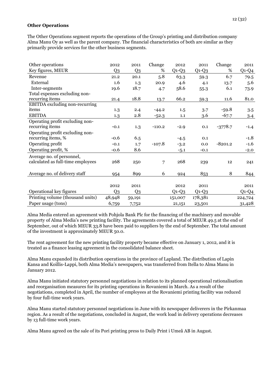#### **Other Operations**

The Other Operations segment reports the operations of the Group's printing and distribution company Alma Manu Oy as well as the parent company. The financial characteristics of both are similar as they primarily provide services for the other business segments.

| Other operations                      | 2012           | 2011   | Change   | 2012    | 2011    | Change    | 2011    |
|---------------------------------------|----------------|--------|----------|---------|---------|-----------|---------|
| Key figures, MEUR                     | Q <sub>3</sub> | Q3     | %        | $Q1-Q3$ | $Q1-Q3$ | %         | $Q1-Q4$ |
| Revenue                               | 21.2           | 20.1   | 5.8      | 63.3    | 59.3    | 6.7       | 79.5    |
| External                              | 1.6            | 1.3    | 20.9     | 4.6     | 4.1     | 13.7      | 5.6     |
| Inter-segments                        | 19.6           | 18.7   | 4.7      | 58.6    | 55.3    | 6.1       | 73.9    |
| Total expenses excluding non-         |                |        |          |         |         |           |         |
| recurring items                       | 21.4           | 18.8   | 13.7     | 66.2    | 59.3    | 11.6      | 81.0    |
| <b>EBITDA</b> excluding non-recurring |                |        |          |         |         |           |         |
| items                                 | 1.3            | 2.4    | $-44.2$  | 1.5     | 3.7     | $-59.8$   | 3.5     |
| <b>EBITDA</b>                         | 1.3            | 2.8    | $-52.3$  | 1.1     | 3.6     | $-67.7$   | 3.4     |
| Operating profit excluding non-       |                |        |          |         |         |           |         |
| recurring items                       | $-0.1$         | 1.3    | $-110.2$ | $-2.9$  | 0.1     | $-3778.7$ | $-1.4$  |
| Operating profit excluding non-       |                |        |          |         |         |           |         |
| recurring items, %                    | $-0.6$         | 6.5    |          | $-4.5$  | 0.1     |           | $-1.8$  |
| Operating profit                      | $-0.1$         | 1.7    | $-107.8$ | $-3.2$  | 0.0     | $-8201.2$ | $-1.6$  |
| Operating profit, %                   | $-0.6$         | 8.6    |          | $-5.1$  | $-0.1$  |           | $-2.0$  |
| Average no. of personnel,             |                |        |          |         |         |           |         |
| calculated as full-time employees     | 268            | 250    | 7        | 268     | 239     | 12        | 241     |
|                                       |                |        |          |         |         |           |         |
| Average no. of delivery staff         | 954            | 899    | 6        | 924     | 853     | 8         | 844     |
|                                       |                |        |          |         |         |           |         |
|                                       | 2012           | 2011   |          | 2012    | 2011    |           | 2011    |
| Operational key figures               | Q <sub>3</sub> | Q3     |          | $Q1-Q3$ | $Q1-Q3$ |           | $Q1-Q4$ |
| Printing volume (thousand units)      | 48,948         | 59,191 |          | 151,007 | 178,381 |           | 224,724 |
| Paper usage (tons)                    | 6,759          | 7,752  |          | 21,151  | 23,501  |           | 31,428  |

Alma Media entered an agreement with Pohjola Bank Plc for the financing of the machinery and movable property of Alma Media's new printing facility. The agreements covered a total of MEUR 49.5 at the end of September, out of which MEUR 33.8 have been paid to suppliers by the end of September. The total amount of the investment is approximately MEUR 50.0.

The rent agreement for the new printing facility property became effective on January 1, 2012, and it is treated as a finance leasing agreement in the consolidated balance sheet.

Alma Manu expanded its distribution operations in the province of Lapland. The distribution of Lapin Kansa and Koillis-Lappi, both Alma Media's newspapers, was transferred from Itella to Alma Manu in January 2012.

Alma Manu initiated statutory personnel negotiations in relation to its planned operational rationalisation and reorganisation measures for its printing operations in Rovaniemi in March. As a result of the negotiations, completed in April, the number of employees at the Rovaniemi printing facility was reduced by four full-time work years.

Alma Manu started statutory personnel negotiations in June with its newspaper deliverers in the Pirkanmaa region. As a result of the negotiations, concluded in August, the work load in delivery operations decreases by 13 full-time work years.

Alma Manu agreed on the sale of its Pori printing press to Daily Print i Umeå AB in August.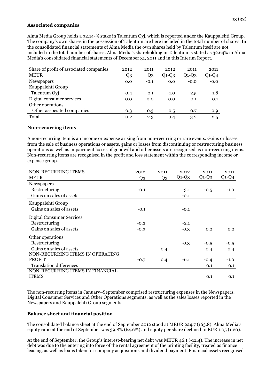#### **Associated companies**

Alma Media Group holds a 32.14-% stake in Talentum Oyj, which is reported under the Kauppalehti Group. The company's own shares in the possession of Talentum are here included in the total number of shares. In the consolidated financial statements of Alma Media the own shares held by Talentum itself are not included in the total number of shares. Alma Media's shareholding in Talentum is stated as 32.64% in Alma Media's consolidated financial statements of December 31, 2011 and in this Interim Report.

| Share of profit of associated companies | 2012   | 2011   | 2012    | 2011    | 2011    |
|-----------------------------------------|--------|--------|---------|---------|---------|
| <b>MEUR</b>                             | Q3     | Q3     | $Q1-Q3$ | $Q1-Q3$ | $Q1-Q4$ |
| Newspapers                              | 0.0    | $-0.1$ | 0.0     | $-0.0$  | $-0.0$  |
| Kauppalehti Group                       |        |        |         |         |         |
| Talentum Oyj                            | $-0.4$ | 2.1    | $-1.0$  | 2.5     | 1.8     |
| Digital consumer services               | $-0.0$ | $-0.0$ | $-0.0$  | $-0.1$  | $-0.1$  |
| Other operations                        |        |        |         |         |         |
| Other associated companies              | 0.3    | 0.3    | 0.5     | 0.7     | 0.9     |
| Total                                   | $-0.2$ | 2.3    | $-0.4$  | 3.2     | 2.5     |

#### **Non-recurring items**

A non-recurring item is an income or expense arising from non-recurring or rare events. Gains or losses from the sale of business operations or assets, gains or losses from discontinuing or restructuring business operations as well as impairment losses of goodwill and other assets are recognised as non-recurring items. Non-recurring items are recognised in the profit and loss statement within the corresponding income or expense group.

| NON-RECURRING ITEMS<br><b>MEUR</b> | 2012<br>Q3 | 2011<br>Q <sub>3</sub> | 2012<br>$Q1-Q3$ | 2011<br>$Q1-Q3$ | 2011<br>$Q1-Q4$  |
|------------------------------------|------------|------------------------|-----------------|-----------------|------------------|
| Newspapers                         |            |                        |                 |                 |                  |
| Restructuring                      | $-0.1$     |                        | $-3.1$          | $-0.5$          | $-1.0$           |
| Gains on sales of assets           |            |                        | $-0.1$          |                 |                  |
| Kauppalehti Group                  |            |                        |                 |                 |                  |
| Gains on sales of assets           | $-0.1$     |                        | $-0.1$          |                 |                  |
| Digital Consumer Services          |            |                        |                 |                 |                  |
| Restructuring                      | $-0.2$     |                        | $-2.1$          |                 |                  |
| Gains on sales of assets           | $-0.3$     |                        | $-0.3$          | 0.2             | 0.2 <sub>0</sub> |
| Other operations                   |            |                        |                 |                 |                  |
| Restructuring                      |            |                        | $-0.3$          | $-0.5$          | $-0.5$           |
| Gains on sales of assets           |            | 0.4                    |                 | 0.4             | 0.4              |
| NON-RECURRING ITEMS IN OPERATING   |            |                        |                 |                 |                  |
| <b>PROFIT</b>                      | $-0.7$     | 0.4                    | $-6.1$          | $-0.4$          | $-1.0$           |
| <b>Translation differences</b>     |            |                        |                 | 0.1             | 0.1              |
| NON-RECURRING ITEMS IN FINANCIAL   |            |                        |                 |                 |                  |
| <b>ITEMS</b>                       |            |                        |                 | 0.1             | 0.1              |

The non-recurring items in January–September comprised restructuring expenses in the Newspapers, Digital Consumer Services and Other Operations segments, as well as the sales losses reported in the Newspapers and Kauppalehti Group segments.

## **Balance sheet and financial position**

The consolidated balance sheet at the end of September 2012 stood at MEUR 224.7 (163.8). Alma Media's equity ratio at the end of September was 39.8% (64.6%) and equity per share declined to EUR 1.05 (1.20).

At the end of September, the Group's interest-bearing net debt was MEUR 46.1 (-12.4). The increase in net debt was due to the entering into force of the rental agreement of the printing facility, treated as finance leasing, as well as loans taken for company acquisitions and dividend payment. Financial assets recognised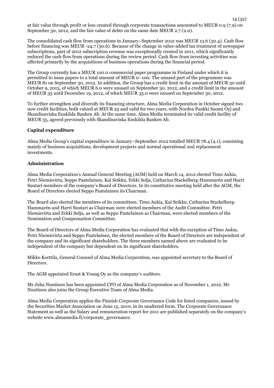at fair value through profit or loss created through corporate transactions amounted to MEUR 0.9 (7.9) on September 30, 2012, and the fair value of debts on the same date MEUR 2.7 (2.0).

The consolidated cash flow from operations in January–September 2012 was MEUR 13.6 (30.4). Cash flow before financing was MEUR -24.7 (30.6). Because of the change in value-added tax treatment of newspaper subscriptions, part of 2012 subscription revenue was exceptionally created in 2011, which significantly reduced the cash flow from operations during the review period. Cash flow from investing activities was affected primarily by the acquisitions of business operations during the financial period.

The Group currently has a MEUR 100.0 commercial paper programme in Finland under which it is permitted to issue papers to a total amount of MEUR 0–100. The unused part of the programme was MEUR 81 on September 30, 2012. In addition, the Group has a credit limit in the amount of MEUR 30 until October 9, 2013, of which MEUR 6.0 were unused on September 30, 2012, and a credit limit in the amount of MEUR 35 until December 19, 2012, of which MEUR 35.0 were unused on September 30, 2012.

To further strengthen and diversify its financing structure, Alma Media Corporation in October signed two new credit facilities, both valued at MEUR 25 and valid for two years, with Nordea Pankki Suomi Oyj and Skandinaviska Enskilda Banken Ab. At the same time, Alma Media terminated its valid credit facility of MEUR 35, agreed previously with Skandinaviska Enskilda Banken Ab.

#### **Capital expenditure**

Alma Media Group's capital expenditure in January–September 2012 totalled MEUR 78.4 (4.1), consisting mainly of business acquisitions, development projects and normal operational and replacement investments.

## **Administration**

Alma Media Corporation's Annual General Meeting (AGM) held on March 14, 2012 elected Timo Aukia, Petri Niemisvirta, Seppo Paatelainen, Kai Seikku, Erkki Solja, Catharina Stackelberg-Hammarén and Harri Suutari members of the company's Board of Directors. In its constitutive meeting held after the AGM, the Board of Directors elected Seppo Paatelainen its Chairman.

The Board also elected the members of its committees. Timo Aukia, Kai Seikku, Catharina Stackelberg-Hammarén and Harri Suutari as Chairman were elected members of the Audit Committee. Petri Niemisvirta and Erkki Solja, as well as Seppo Paatelainen as Chairman, were elected members of the Nomination and Compensation Committee.

The Board of Directors of Alma Media Corporation has evaluated that with the exception of Timo Aukia, Petri Niemisvirta and Seppo Paatelainen, the elected members of the Board of Directors are independent of the company and its significant shareholders. The three members named above are evaluated to be independent of the company but dependent on its significant shareholders.

Mikko Korttila, General Counsel of Alma Media Corporation, was appointed secretary to the Board of Directors.

The AGM appointed Ernst & Young Oy as the company's auditors.

Mr Juha Nuutinen has been appointed CFO of Alma Media Corporation as of November 1, 2012. Mr Nuutinen also joins the Group Executive Team of Alma Media.

Alma Media Corporation applies the Finnish Corporate Governance Code for listed companies, issued by the Securities Market Association on June 15, 2010, in its unaltered form. The Corporate Governance Statement as well as the Salary and remuneration report for 2011 are published separately on the company's website www.almamedia.fi/corporate\_governance.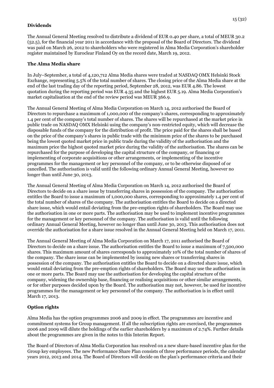## **Dividends**

The Annual General Meeting resolved to distribute a dividend of EUR 0.40 per share, a total of MEUR 30.2 (52.5), for the financial year 2011 in accordance with the proposal of the Board of Directors. The dividend was paid on March 26, 2012 to shareholders who were registered in Alma Media Corporation's shareholder register maintained by Euroclear Finland Oy on the record date, March 19, 2012.

## **The Alma Media share**

In July–September, a total of 4,120,712 Alma Media shares were traded at NASDAQ OMX Helsinki Stock Exchange, representing 5.5% of the total number of shares. The closing price of the Alma Media share at the end of the last trading day of the reporting period, September 28, 2012, was EUR 4.86. The lowest quotation during the reporting period was EUR 4.35 and the highest EUR 5.19. Alma Media Corporation's market capitalisation at the end of the review period was MEUR 366.9.

The Annual General Meeting of Alma Media Corporation on March 14, 2012 authorised the Board of Directors to repurchase a maximum of 1,000,000 of the company's shares, corresponding to approximately 1.4 per cent of the company's total number of shares. The shares will be repurchased at the market price in public trade on NASDAQ OMX Helsinki using the company's non-restricted equity, which will decrease the disposable funds of the company for the distribution of profit. The price paid for the shares shall be based on the price of the company's shares in public trade with the minimum price of the shares to be purchased being the lowest quoted market price in public trade during the validity of the authorisation and the maximum price the highest quoted market price during the validity of the authorisation. The shares can be repurchased for the purpose of developing the capital structure of the company, or financing or implementing of corporate acquisitions or other arrangements, or implementing of the incentive programmes for the management or key personnel of the company, or to be otherwise disposed of or cancelled. The authorisation is valid until the following ordinary Annual General Meeting, however no longer than until June 30, 2013.

The Annual General Meeting of Alma Media Corporation on March 14, 2012 authorised the Board of Directors to decide on a share issue by transferring shares in possession of the company. The authorisation entitles the Board to issue a maximum of 1,000,000 shares, corresponding to approximately 1.4 per cent of the total number of shares of the company. The authorisation entitles the Board to decide on a directed share issue, which would entail deviating from the pre-emption rights of shareholders. The Board may use the authorisation in one or more parts. The authorisation may be used to implement incentive programmes for the management or key personnel of the company. The authorisation is valid until the following ordinary Annual General Meeting, however no longer than until June 30, 2013. This authorisation does not override the authorisation for a share issue resolved in the Annual General Meeting held on March 17, 2011.

The Annual General Meeting of Alma Media Corporation on March 17, 2011 authorised the Board of Directors to decide on a share issue. The authorisation entitles the Board to issue a maximum of 7,500,000 shares. This maximum amount of shares corresponds to approximately 10% of the total number of shares of the company. The share issue can be implemented by issuing new shares or transferring shares in possession of the company. The authorisation entitles the Board to decide on a directed share issue, which would entail deviating from the pre-emption rights of shareholders. The Board may use the authorisation in one or more parts. The Board may use the authorisation for developing the capital structure of the company, widening the ownership base, financing or realising acquisitions or other similar arrangements, or for other purposes decided upon by the Board. The authorisation may not, however, be used for incentive programmes for the management or key personnel of the company. The authorisation is in effect until March 17, 2013.

## **Option rights**

Alma Media has the option programmes 2006 and 2009 in effect. The programmes are incentive and commitment systems for Group management. If all the subscription rights are exercised, the programmes 2006 and 2009 will dilute the holdings of the earlier shareholders by a maximum of 2.74%. Further details about the programmes are given in the notes to this Interim Report.

The Board of Directors of Alma Media Corporation has resolved on a new share-based incentive plan for the Group key employees. The new Performance Share Plan consists of three performance periods, the calendar years 2012, 2013 and 2014. The Board of Directors will decide on the plan's performance criteria and their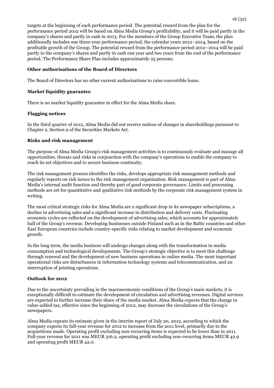targets at the beginning of each performance period. The potential reward from the plan for the performance period 2012 will be based on Alma Media Group's profitability, and it will be paid partly in the company's shares and partly in cash in 2013. For the members of the Group Executive Team, the plan additionally includes one three-year performance period, the calendar years 2012–2014, based on the profitable growth of the Group. The potential reward from the performance period 2012–2014 will be paid partly in the company's shares and partly in cash one year and two years from the end of the performance period. The Performance Share Plan includes approximately 25 persons.

## **Other authorisations of the Board of Directors**

The Board of Directors has no other current authorisations to raise convertible loans.

## **Market liquidity guarantee**

There is no market liquidity guarantee in effect for the Alma Media share.

## **Flagging notices**

In the third quarter of 2012, Alma Media did not receive notices of changes in shareholdings pursuant to Chapter 2, Section 9 of the Securities Markets Act.

## **Risks and risk management**

The purpose of Alma Media Group's risk management activities is to continuously evaluate and manage all opportunities, threats and risks in conjunction with the company's operations to enable the company to reach its set objectives and to secure business continuity.

The risk management process identifies the risks, develops appropriate risk management methods and regularly reports on risk issues to the risk management organisation. Risk management is part of Alma Media's internal audit function and thereby part of good corporate governance. Limits and processing methods are set for quantitative and qualitative risk methods by the corporate risk management system in writing.

The most critical strategic risks for Alma Media are a significant drop in its newspaper subscriptions, a decline in advertising sales and a significant increase in distribution and delivery costs. Fluctuating economic cycles are reflected on the development of advertising sales, which accounts for approximately half of the Group's revenue. Developing businesses outside Finland such as in the Baltic countries and other East European countries include country-specific risks relating to market development and economic growth.

In the long term, the media business will undergo changes along with the transformation in media consumption and technological developments. The Group's strategic objective is to meet this challenge through renewal and the development of new business operations in online media. The most important operational risks are disturbances in information technology systems and telecommunication, and an interruption of printing operations.

## **Outlook for 2012**

Due to the uncertainty prevailing in the macroeconomic conditions of the Group's main markets, it is exceptionally difficult to estimate the development of circulation and advertising revenues. Digital services are expected to further increase their share of the media market. Alma Media expects that the change in value-added tax, effective since the beginning of 2012, may decrease the circulations of the Group's newspapers.

Alma Media repeats its estimate given in the interim report of July 20, 2012, according to which the company expects its full-year revenue for 2012 to increase from the 2011 level, primarily due to the acquisitions made. Operating profit excluding non-recurring items is expected to be lower than in 2011. Full-year revenue for 2011 was MEUR 316.2, operating profit excluding non-recurring items MEUR 42.9 and operating profit MEUR 42.0.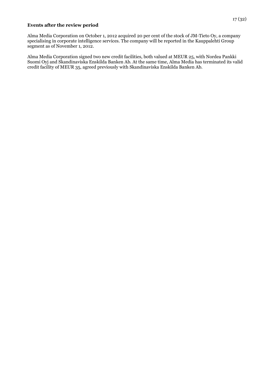#### **Events after the review period**

Alma Media Corporation on October 1, 2012 acquired 20 per cent of the stock of JM-Tieto Oy, a company specialising in corporate intelligence services. The company will be reported in the Kauppalehti Group segment as of November 1, 2012.

Alma Media Corporation signed two new credit facilities, both valued at MEUR 25, with Nordea Pankki Suomi Oyj and Skandinaviska Enskilda Banken Ab. At the same time, Alma Media has terminated its valid credit facility of MEUR 35, agreed previously with Skandinaviska Enskilda Banken Ab.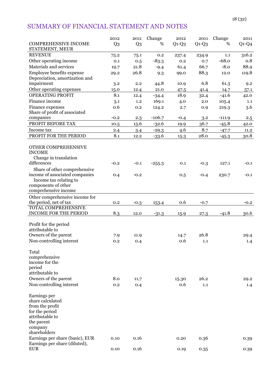# SUMMARY OF FINANCIAL STATEMENT AND NOTES

|                                                     | 2012           | 2011           | Change   | 2012    | 2011    | Change   | 2011    |
|-----------------------------------------------------|----------------|----------------|----------|---------|---------|----------|---------|
| <b>COMPREHENSIVE INCOME</b>                         | Q <sub>3</sub> | Q <sub>3</sub> | %        | $Q1-Q3$ | $Q1-Q3$ | %        | $Q1-Q4$ |
| STATEMENT, MEUR                                     |                |                |          |         |         |          |         |
| <b>REVENUE</b>                                      | 75.2           | 75.1           | 0.2      | 237.4   | 234.9   | 1.1      | 316.2   |
| Other operating income                              | 0.1            | 0.5            | $-83.3$  | 0.2     | 0.7     | $-68.0$  | 0.8     |
| Materials and services                              | 19.7           | 21.8           | $-9.4$   | 61.4    | 66.7    | $-8.0$   | 88.9    |
| Employee benefits expense                           | 29.2           | 26.8           | 9.3      | 99.0    | 88.3    | 12.0     | 119.8   |
| Depreciation, amortization and                      |                |                |          |         | 6.8     |          |         |
| impairment                                          | 3.2            | 2.2            | 44.8     | 10.9    |         | 61.3     | 9.2     |
| Other operating expenses<br><b>OPERATING PROFIT</b> | 15.0<br>8.1    | 12.4           | 21.0     | 47.5    | 41.4    | 14.7     | 57.1    |
| Finance income                                      |                | 12.4           | $-34.4$  | 18.9    | 32.4    | $-41.6$  | 42.0    |
|                                                     | 3.1            | 1.2            | 169.1    | 4.0     | 2.0     | 105.4    | 1.1     |
| Finance expenses<br>Share of profit of associated   | 0.6            | 0.2            | 124.2    | 2.7     | 0.9     | 219.3    | 3.6     |
| companies                                           | $-0.2$         | 2.3            | $-106.7$ | $-0.4$  | 3.2     | $-111.9$ | 2.5     |
| PROFIT BEFORE TAX                                   | 10.5           | 15.6           | $-32.6$  | 19.9    | 36.7    | $-45.8$  | 42.0    |
| Income tax                                          |                |                |          | 4.6     | 8.7     |          | 11.2    |
| PROFIT FOR THE PERIOD                               | 2.4<br>8.1     | 3.4            | $-29.3$  |         | 28.0    | $-47.7$  |         |
|                                                     |                | 12.2           | $-33.6$  | 15.3    |         | $-45.3$  | 30.8    |
| OTHER COMPREHENSIVE                                 |                |                |          |         |         |          |         |
| <b>INCOME</b>                                       |                |                |          |         |         |          |         |
| Change in translation                               |                |                |          |         |         |          |         |
| differences                                         | $-0.2$         | $-0.1$         | $-255.3$ | 0.1     | $-0.3$  | 127.1    | $-0.1$  |
| Share of other comprehensive                        |                |                |          |         |         |          |         |
| income of associated companies                      | 0.4            | $-0.2$         |          | 0.5     | $-0.4$  | 230.7    | $-0.1$  |
| Income tax relating to                              |                |                |          |         |         |          |         |
| components of other                                 |                |                |          |         |         |          |         |
| comprehensive income                                |                |                |          |         |         |          |         |
| Other comprehensive income for                      |                |                |          |         |         |          |         |
| the period, net of tax                              | 0.2            | $-0.3$         | 153.4    | 0.6     | $-0.7$  |          | $-0.2$  |
| TOTAL COMPREHENSIVE                                 |                |                |          |         |         |          |         |
| <b>INCOME FOR THE PERIOD</b>                        | 8.3            | 12.0           | $-31.3$  | 15.9    | 27.3    | $-41.8$  | 30.6    |
|                                                     |                |                |          |         |         |          |         |
| Profit for the period                               |                |                |          |         |         |          |         |
| attributable to                                     |                |                |          |         | 26.8    |          |         |
| Owners of the parent                                | 7.9            | 11.9           |          | 14.7    |         |          | 29.4    |
| Non-controlling interest                            | 0.2            | 0.4            |          | 0.6     | 1.1     |          | 1.4     |
| Total                                               |                |                |          |         |         |          |         |
| comprehensive                                       |                |                |          |         |         |          |         |
| income for the                                      |                |                |          |         |         |          |         |
| period                                              |                |                |          |         |         |          |         |
| attributable to                                     |                |                |          |         |         |          |         |
| Owners of the parent                                | 8.0            | 11.7           |          | 15.30   | 26.2    |          | 29.2    |
| Non-controlling interest                            | 0.2            | 0.4            |          | 0.6     | 1.1     |          | 1.4     |
|                                                     |                |                |          |         |         |          |         |
| Earnings per                                        |                |                |          |         |         |          |         |
| share calculated                                    |                |                |          |         |         |          |         |
| from the profit                                     |                |                |          |         |         |          |         |
| for the period                                      |                |                |          |         |         |          |         |
| attributable to                                     |                |                |          |         |         |          |         |
| the parent                                          |                |                |          |         |         |          |         |
| company                                             |                |                |          |         |         |          |         |
| shareholders                                        |                |                |          |         |         |          |         |
| Earnings per share (basic), EUR                     | 0.10           | 0.16           |          | 0.20    | 0.36    |          | 0.39    |
| Earnings per share (diluted),<br><b>EUR</b>         | 0.10           | 0.16           |          | 0.19    | 0.35    |          | 0.39    |
|                                                     |                |                |          |         |         |          |         |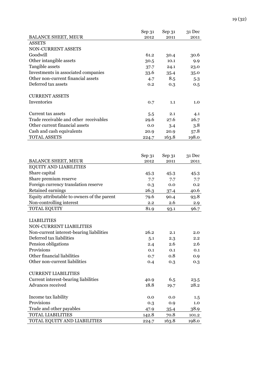|                                             | Sep 31 | Sep 31      | 31 Dec |
|---------------------------------------------|--------|-------------|--------|
| <b>BALANCE SHEET, MEUR</b>                  | 2012   | 2011        | 2011   |
| <b>ASSETS</b>                               |        |             |        |
| NON-CURRENT ASSETS                          |        |             |        |
| Goodwill                                    | 61.2   | 30.4        | 30.6   |
| Other intangible assets                     | 30.5   | 10.1        | 9.9    |
| Tangible assets                             | 37.7   | 24.1        | 23.0   |
| Investments in associated companies         | 33.6   | 35.4        | 35.0   |
| Other non-current financial assets          | 4.7    | 8.5         | 5.3    |
| Deferred tax assets                         | 0.2    | 0.3         | 0.5    |
|                                             |        |             |        |
| <b>CURRENT ASSETS</b>                       |        |             |        |
| Inventories                                 | 0.7    | 1.1         | 1.0    |
|                                             |        |             |        |
| Current tax assets                          | 5.5    | 2.1         | 4.1    |
| Trade receivable and other receivables      | 29.6   | 27.6        | 26.7   |
| Other current financial assets              | 0.0    | 3.4         | 3.8    |
| Cash and cash equivalents                   | 20.9   | 20.9        | 57.8   |
| <b>TOTAL ASSETS</b>                         | 224.7  | 163.8       | 198.0  |
|                                             |        |             |        |
|                                             |        |             |        |
|                                             | Sep 31 | Sep 31      | 31 Dec |
| <b>BALANCE SHEET, MEUR</b>                  | 2012   | 2011        | 2011   |
| EQUITY AND LIABILITIES                      |        |             |        |
| Share capital                               | 45.3   | 45.3        | 45.3   |
| Share premium reserve                       | 7.7    | 7.7         | 7.7    |
| Foreign currency translation reserve        | 0.3    | 0.0         | 0.2    |
| Retained earnings                           | 26.3   | 37.4        | 40.6   |
| Equity attributable to owners of the parent | 79.6   |             | 93.8   |
| Non-controlling interest                    | 2.2    | 90.4<br>2.6 |        |
| <b>TOTAL EQUITY</b>                         |        |             | 2.9    |
|                                             | 81.9   | 93.1        | 96.7   |
|                                             |        |             |        |
| <b>LIABILITIES</b>                          |        |             |        |
| NON-CURRENT LIABILITIES                     |        |             |        |
| Non-current interest-bearing liabilities    | 26.2   | 2.1         | 2.0    |
| Deferred tax liabilities                    | 5.1    | 2.3         | 2.2    |
| Pension obligations                         | 2.4    | 2.6         | 2.6    |
| Provisions                                  | 0.1    | 0.1         | 0.1    |
| Other financial liabilities                 | 0.7    | 0.8         | 0.9    |
| Other non-current liabilities               | 0.4    | 0.3         | 0.3    |
|                                             |        |             |        |
| <b>CURRENT LIABILITIES</b>                  |        |             |        |
| Current interest-bearing liabilities        | 40.9   | 6.5         | 23.5   |
| Advances received                           | 18.8   | 19.7        | 28.2   |
|                                             |        |             |        |
| Income tax liability                        | 0.0    | 0.0         | 1.5    |
| Provisions                                  | 0.3    | 0.9         | 1.0    |
| Trade and other payables                    | 47.9   | 35.4        | 38.9   |
| <b>TOTAL LIABILITIES</b>                    | 142.8  | 70.8        | 101.2  |
| TOTAL EQUITY AND LIABILITIES                | 224.7  | 163.8       | 198.0  |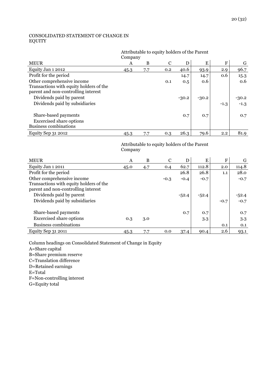## CONSOLIDATED STATEMENT OF CHANGE IN EQUITY

#### Attributable to equity holders of the Parent Company

| <b>MEUR</b>                             | A    | B   | C   | D       | E       | F      | G       |
|-----------------------------------------|------|-----|-----|---------|---------|--------|---------|
| Equity Jan 1 2012                       | 45.3 | 7.7 | 0.2 | 40.6    | 93.9    | 2.9    | 96.7    |
| Profit for the period                   |      |     |     | 14.7    | 14.7    | 0.6    | 15.3    |
| Other comprehensive income              |      |     | 0.1 | 0.5     | 0.6     |        | 0.6     |
| Transactions with equity holders of the |      |     |     |         |         |        |         |
| parent and non-controlling interest     |      |     |     |         |         |        |         |
| Dividends paid by parent                |      |     |     | $-30.2$ | $-30.2$ |        | $-30.2$ |
| Dividends paid by subsidiaries          |      |     |     |         |         | $-1.3$ | $-1.3$  |
|                                         |      |     |     |         |         |        |         |
| Share-based payments                    |      |     |     | 0.7     | 0.7     |        | 0.7     |
| <b>Excercised share options</b>         |      |     |     |         |         |        |         |
| <b>Business combinations</b>            |      |     |     |         |         |        |         |
| Equity Sep 31 2012                      | 45.3 | 7.7 | 0.3 | 26.3    | 79.6    | 2.2    | 81.9    |

## Attributable to equity holders of the Parent Company

| <b>MEUR</b>                             | A    | B   | $\mathcal{C}$ | D       | E       | F      | G       |
|-----------------------------------------|------|-----|---------------|---------|---------|--------|---------|
| Equity Jan 1 2011                       | 45.0 | 4.7 | 0.4           | 62.7    | 112.8   | 2.0    | 114.8   |
| Profit for the period                   |      |     |               | 26.8    | 26.8    | 1.1    | 28.0    |
| Other comprehensive income              |      |     | $-0.3$        | $-0.4$  | $-0.7$  |        | $-0.7$  |
| Transactions with equity holders of the |      |     |               |         |         |        |         |
| parent and non-controlling interest     |      |     |               |         |         |        |         |
| Dividends paid by parent                |      |     |               | $-52.4$ | $-52.4$ |        | $-52.4$ |
| Dividends paid by subsidiaries          |      |     |               |         |         | $-0.7$ | $-0.7$  |
|                                         |      |     |               |         |         |        |         |
| Share-based payments                    |      |     |               | 0.7     | 0.7     |        | 0.7     |
| <b>Excercised share options</b>         | 0.3  | 3.0 |               |         | 3.3     |        | 3.3     |
| <b>Business combinations</b>            |      |     |               |         |         | 0.1    | 0.1     |
| Equity Sep 31 2011                      | 45.3 | 7.7 | 0.0           | 37.4    | 90.4    | 2.6    | 93.1    |

Column headings on Consolidated Statement of Change in Equity A=Share capital B=Share premium reserve C=Translation difference D=Retained earnings E=Total F=Non-controlling interest

G=Equity total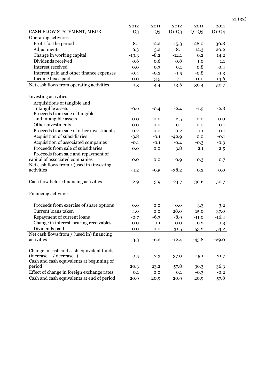|                                                                          | 2012           | 2011           | 2012    | 2011    | 2011    |
|--------------------------------------------------------------------------|----------------|----------------|---------|---------|---------|
| CASH FLOW STATEMENT, MEUR                                                | Q <sub>3</sub> | Q <sub>3</sub> | $Q1-Q3$ | $Q1-Q3$ | $Q1-Q4$ |
| Operating activities                                                     |                |                |         |         |         |
| Profit for the period                                                    | 8.1            | 12.2           | 15.3    | 28.0    | 30.8    |
| Adjustments                                                              | 6.3            | 3.2            | 18.1    | 12.3    | 20.2    |
| Change in working capital                                                | $-13.3$        | $-8.2$         | $-12.1$ | 0.2     | 14.2    |
| Dividends received                                                       | 0.6            | 0.6            | 0.8     | 1.0     | 1.1     |
| Interest received                                                        | 0.0            | 0.3            | 0.1     | 0.8     | 0.4     |
| Interest paid and other finance expenses                                 | $-0.4$         | $-0.2$         | $-1.5$  | $-0.8$  | $-1.3$  |
| Income taxes paid                                                        | 0.0            | $-3.5$         | $-7.1$  | $-11.0$ | $-14.6$ |
| Net cash flows from operating activities                                 | 1.3            | 4.4            | 13.6    | 30.4    | 50.7    |
|                                                                          |                |                |         |         |         |
| Investing activities                                                     |                |                |         |         |         |
| Acquisitions of tangible and                                             |                |                |         |         |         |
| intangible assets                                                        | $-0.6$         | $-0.4$         | $-2.4$  | $-1.9$  | $-2.8$  |
| Proceeds from sale of tangible                                           |                |                |         |         |         |
| and intangible assets                                                    | 0.0            | 0.0            | 2.5     | 0.0     | 0.0     |
| Other investments                                                        | 0.0            | 0.0            | $-0.1$  | 0.0     | $-0.1$  |
| Proceeds from sale of other investments                                  | 0.2            | 0.0            | 0.2     | 0.1     | 0.1     |
| Acquisition of subsidiaries                                              | $-3.8$         | $-0.1$         | $-42.9$ | 0.0     | $-0.1$  |
| Acquisition of associated companies                                      | $-0.1$         | $-0.1$         | $-0.4$  | $-0.3$  | $-0.3$  |
| Proceeds from sale of subsidiaries                                       | 0.0            | 0.0            | 3.8     | 2.1     | 2.5     |
| Proceeds from sale and repayment of                                      |                |                |         |         |         |
| capital of associated companies                                          | 0.0            | 0.0            | 0.9     | 0.3     | 0.7     |
| Net cash flows from / (used in) investing<br>activities                  |                |                | $-38.2$ |         |         |
|                                                                          | $-4.2$         | $-0.5$         |         | 0.2     | 0.0     |
| Cash flow before financing activities                                    | $-2.9$         | 3.9            | $-24.7$ | 30.6    | 50.7    |
|                                                                          |                |                |         |         |         |
| Financing activities                                                     |                |                |         |         |         |
|                                                                          |                |                |         |         |         |
| Proceeds from exercise of share options                                  | 0.0            | 0.0            | 0.0     | 3.3     | 3.2     |
| Current loans taken                                                      | 4.0            | 0.0            | 28.0    | 15.0    | 37.0    |
| Repayment of current loans                                               | $-0.7$         | $-6.3$         | $-8.9$  | $-11.0$ | $-16.4$ |
| Change in interest-bearing receivables                                   | 0.0            | 0.1            | 0.0     | 0.2     | 0.3     |
| Dividends paid                                                           | 0.0            | 0.0            | $-31.5$ | $-53.2$ | $-53.2$ |
| Net cash flows from / (used in) financing                                |                |                |         |         |         |
| activities                                                               | 3.3            | $-6.2$         | $-12.4$ | $-45.8$ | $-29.0$ |
|                                                                          |                |                |         |         |         |
| Change in cash and cash equivalent funds                                 |                |                |         |         |         |
| $(increase + / decrease -)$<br>Cash and cash equivalents at beginning of | 0.5            | $-2.3$         | $-37.0$ | $-15.1$ | 21.7    |
| period                                                                   | 20.3           | 23.2           | 57.8    | 36.3    | 36.3    |
| Effect of change in foreign exchange rates                               | 0.1            | 0.0            | 0.1     | $-0.3$  | $-0.2$  |
| Cash and cash equivalents at end of period                               |                | 20.9           | 20.9    | 20.9    | 57.8    |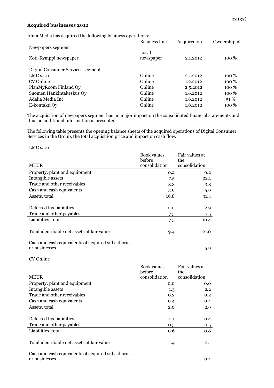#### **Acquired businesses 2012**

|                                   | <b>Business line</b> | Acquired on | Ownership %      |
|-----------------------------------|----------------------|-------------|------------------|
| Newpapers segment                 |                      |             |                  |
|                                   | Local                |             |                  |
| Koti-Kymppi newspaper             | newspaper            | 2.1.2012    | 100 %            |
| Digital Consumer Services segment |                      |             |                  |
| $LMC$ s.r.o                       | Online               | 2.1.2012    | 100 %            |
| CV Online                         | Online               | 1.2.2012    | 100 %            |
| PlanMyRoom Finland Oy             | Online               | 2.5.2012    | 100 %            |
| Suomen Hankintakeskus Oy          | Online               | 1.6.2012    | 100 %            |
| Adalia Media Inc                  | Online               | 1.6.2012    | 51%              |
| E-kontakti Oy                     | Online               | 1.8.2012    | 100 <sup>%</sup> |

The acquisition of newpapers segment has no major impact on the consolidated financial statements and thus no additional information is presented.

The following table presents the opening balance sheets of the acquired operations of Digital Consumer Services in the Group, the total acquisition price and impact on cash flow.

LMC s.r.o

|                                                    | Book values   | Fair values at |
|----------------------------------------------------|---------------|----------------|
|                                                    | before        | the            |
| <b>MEUR</b>                                        | consolidation | consolidation  |
| Property, plant and equipment                      | 0.2           | 0.2            |
| Intangible assets                                  | 7.5           | 22.1           |
| Trade and other receivables                        | 3.3           | 3.3            |
| Cash and cash equivalents                          | 5.9           | 5.9            |
| Assets, total                                      | 16.8          | 31.4           |
| Deferred tax liabilities                           | 0.0           | 2.9            |
| Trade and other payables                           | 7.5           | 7.5            |
| Liabilities, total                                 | 7.5           | 10.4           |
| Total identifiable net assets at fair value        | 9.4           | 21.0           |
| Cash and cash equivalents of acquired subsidiaries |               |                |
| or businesses                                      |               | 5.9            |

CV Online

|                                                    | Book values   | Fair values at |
|----------------------------------------------------|---------------|----------------|
|                                                    | before        | the            |
| <b>MEUR</b>                                        | consolidation | consolidation  |
| Property, plant and equipment                      | 0.0           | 0.0            |
| Intangible assets                                  | 1.3           | 2.2            |
| Trade and other receivables                        | 0.2           | 0.2            |
| Cash and cash equivalents                          | 0.4           | 0.4            |
| Assets, total                                      | 2.0           | 2.9            |
|                                                    |               |                |
| Deferred tax liabilities                           | 0.1           | 0.4            |
| Trade and other payables                           | 0.5           | 0.5            |
| Liabilities, total                                 | 0.6           | 0.8            |
|                                                    |               |                |
| Total identifiable net assets at fair value        | 1.4           | 2.1            |
|                                                    |               |                |
| Cash and cash equivalents of acquired subsidiaries |               |                |
| or businesses                                      |               | 0.4            |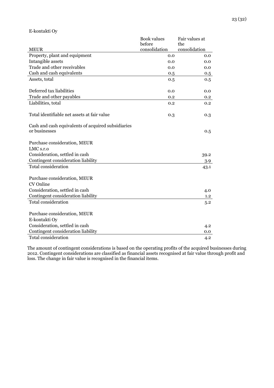|                                                                     | <b>Book values</b><br>before | Fair values at<br>the |
|---------------------------------------------------------------------|------------------------------|-----------------------|
| <b>MEUR</b>                                                         | consolidation                | consolidation         |
| Property, plant and equipment                                       | 0.0                          | 0.0                   |
| Intangible assets                                                   | 0.0                          | 0.0                   |
| Trade and other receivables                                         | 0.0                          | 0.0                   |
| Cash and cash equivalents                                           | 0.5                          | 0.5                   |
| Assets, total                                                       | 0.5                          | 0.5                   |
| Deferred tax liabilities                                            | 0.0                          | 0.0                   |
| Trade and other payables                                            | 0.2                          | 0.2                   |
| Liabilities, total                                                  | 0.2                          | 0.2                   |
| Total identifiable net assets at fair value                         | 0.3                          | 0.3                   |
| Cash and cash equivalents of acquired subsidiaries<br>or businesses |                              | 0.5                   |
| Purchase consideration, MEUR                                        |                              |                       |
| LMC <sub>s.r.o</sub>                                                |                              |                       |
| Consideration, settled in cash                                      |                              | 39.2                  |
| Contingent consideration liability                                  |                              | 3.9                   |
| <b>Total consideration</b>                                          |                              | 43.1                  |
| Purchase consideration, MEUR<br>CV Online                           |                              |                       |
| Consideration, settled in cash                                      |                              | 4.0                   |
| Contingent consideration liability                                  |                              | 1.2                   |
| Total consideration                                                 |                              | 5.2                   |
| Purchase consideration, MEUR                                        |                              |                       |
| E-kontakti Oy                                                       |                              |                       |
| Consideration, settled in cash                                      |                              | 4.2                   |
| Contingent consideration liability                                  |                              | 0.0                   |
| <b>Total consideration</b>                                          |                              | 4.2                   |

The amount of contingent considerations is based on the operating profits of the acquired businesses during 2012. Contingent considerations are classified as financial assets recognised at fair value through profit and loss. The change in fair value is recognised in the financial items.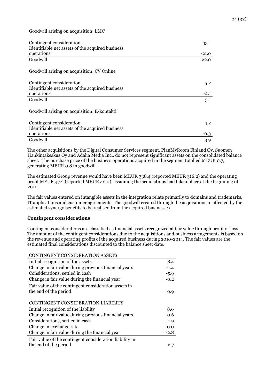Goodwill arising on acquisition: LMC

| Contingent consideration<br>Identifiable net assets of the acquired business | 43.1    |
|------------------------------------------------------------------------------|---------|
| operations                                                                   | $-21.0$ |
| Goodwill                                                                     | 22.0    |
| Goodwill arising on acquisition: CV Online                                   |         |
| Contingent consideration                                                     | 5.2     |
| Identifiable net assets of the acquired business                             |         |
| operations                                                                   | $-2.1$  |
| Goodwill                                                                     | 3.1     |
| Goodwill arising on acquisition: E-kontakti                                  |         |
| Contingent consideration                                                     | 4.2     |
| Identifiable net assets of the acquired business                             |         |
| operations                                                                   | $-0.3$  |
| Goodwill                                                                     | 3.9     |

The other acquisitions by the Digital Consumer Services segment, PlanMyRoom Finland Oy, Suomen Hankintakeskus Oy and Adalia Media Inc., do not represent significant assets on the consolidated balance sheet. The purchase price of the business operations acquired in the segment totalled MEUR 0.7, generating MEUR 0.8 in goodwill.

The estimated Group revenue would have been MEUR 338.4 (reported MEUR 316.2) and the operating profit MEUR 47.2 (reported MEUR 42.0), assuming the acquisitions had taken place at the beginning of 2011.

The fair values entered on intangible assets in the integration relate primarily to domains and trademarks, IT applications and customer agreements. The goodwill created through the acquisitions in affected by the estimated synergy benefits to be realised from the acquired businesses.

#### **Contingent considerations**

Contingent considerations are classified as financial assets recognized at fair value through profit or loss. The amount of the contingent considerations due to the acquisitions and business arragements is based on the revenue and operating profits of the acquired business during 2010-2014. The fair values are the estimated final considerations discounted to the balance sheet date.

| CONTINGENT CONSIDERATION ASSETS                                                  |        |
|----------------------------------------------------------------------------------|--------|
| Initial recognition of the assets                                                | 8.4    |
| Change in fair value during previous financial years                             | $-1.4$ |
| Considerations, settled in cash                                                  | $-5.9$ |
| Change in fair value during the financial year                                   | $-0.2$ |
| Fair value of the contingent consideration assets in<br>the end of the period    | 0.9    |
| CONTINGENT CONSIDERATION LIABILITY                                               |        |
| Initial recognition of the liability                                             | 8.0    |
| Change in fair value during previous financial years                             | -0.6   |
| Considerations, settled in cash                                                  | $-1.9$ |
| Change in exchange rate                                                          | 0.0    |
| Change in fair value during the financial year                                   | -2.8   |
| Fair value of the contingent consideration liability in<br>the end of the period | 2.7    |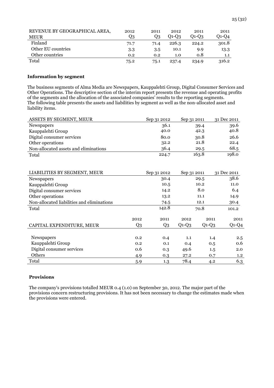| REVENUE BY GEOGRAPHICAL AREA, | 2012 | 2011 | 2012    | 2011    | 2011    |
|-------------------------------|------|------|---------|---------|---------|
| <b>MEUR</b>                   | Q3   | Q3   | $Q1-Q3$ | $O1-O3$ | $O1-O4$ |
| Finland                       | 71.7 | 71.4 | 226.3   | 224.2   | 301.8   |
| Other EU countries            | 3.3  | 3.5  | 10.1    | 9.9     | 13.3    |
| Other countries               | 0.2  | 0.2  | 1.0     | 0.8     | 1.1     |
| Total                         | 75.2 | 75.1 | 237.4   | 234.9   | 316.2   |

#### **Information by segment**

The business segments of Alma Media are Newspapers, Kauppalehti Group, Digital Consumer Services and Other Operations. The descriptive section of the interim report presents the revenue and operating profits of the segments and the allocation of the associated companies' results to the reporting segments. The following table presents the assets and liabilities by segment as well as the non-allocated asset and liability items.

| ASSETS BY SEGMENT, MEUR               | Sep 31 2012 | Sep 31 2011 | 31 Dec 2011 |
|---------------------------------------|-------------|-------------|-------------|
| Newspapers                            | 36.1        | 39.4        | 39.6        |
| Kauppalehti Group                     | 40.0        | 42.3        | 40.8        |
| Digital consumer services             | 80.0        | 30.8        | 26.6        |
| Other operations                      | 32.2        | 21.8        | 22.4        |
| Non-allocated assets and eliminations | 36.4        | 29.5        | 68.5        |
| Total                                 | 224.7       | 163.8       | 198.0       |

| LIABILITIES BY SEGMENT, MEUR               |       | Sep 31 2012 | Sep 31 2011 |         | 31 Dec 2011 |  |
|--------------------------------------------|-------|-------------|-------------|---------|-------------|--|
| Newspapers                                 |       | 30.4        |             | 29.5    | 38.6        |  |
| Kauppalehti Group                          |       | 10.5        |             | 10.2    | 11.0        |  |
| Digital consumer services                  |       | 14.2        |             | 8.0     | 6.4         |  |
| Other operations                           |       | 13.2        |             | 11.1    | 14.9        |  |
| Non-allocated liabilities and eliminations |       | 74.5        |             | 12.1    | 30.4        |  |
| Total                                      |       | 142.8       |             | 70.8    | 101.2       |  |
|                                            |       |             |             |         |             |  |
|                                            | 2012  | 2011        | 2012        | 2011    | 2011        |  |
| CAPITAL EXPENDITURE, MEUR                  | $Q_3$ | Q3          | $Q1-Q3$     | $Q1-Q3$ | $Q1-Q4$     |  |
|                                            |       |             |             |         |             |  |
| Newspapers                                 | 0.2   | 0.4         | 1.1         | 1.4     | 2.5         |  |
| Kauppalehti Group                          | 0.2   | 0.1         | 0.4         | 0.5     | 0.6         |  |
| Digital consumer services                  | 0.6   | 0.3         | 49.6        | 1.5     | 2.0         |  |
| Others                                     | 4.9   | 0.3         | 27.2        | 0.7     | 1.2         |  |
| Total                                      | 5.9   | 1.3         | 78.4        | 4.2     | 6.3         |  |

## **Provisions**

The company's provisions totalled MEUR 0.4 (1.0) on September 30, 2012. The major part of the provisions concern restructuring provisions. It has not been necessary to change the estimates made when the provisions were entered.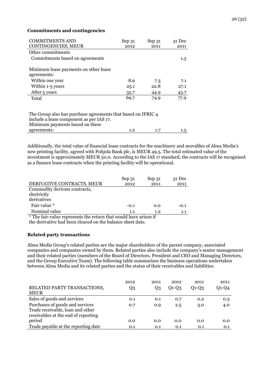#### **Commitments and contingencies**

| <b>COMMITMENTS AND</b>                | Sep 31   | Sep 31 | $31$ Dec |
|---------------------------------------|----------|--------|----------|
| CONTINGENCIES, MEUR                   | 2012     | 2011   | 2011     |
| Other commitments                     |          |        |          |
| Commitments based on agreements       |          |        | 1.3      |
|                                       |          |        |          |
| Minimum lease payments on other lease |          |        |          |
| agreements:                           |          |        |          |
| Within one year                       | 8.9      | 7.3    | 7.1      |
| Within 1-5 years                      | 25.1     | 22.8   | 27.1     |
| After 5 years                         | $35 - 7$ | 44.9   | 43.7     |
| Total                                 | 69.7     | 74.9   | 77.9     |
|                                       |          |        |          |
|                                       |          |        |          |

The Group also has purchase agreements that based on IFRIC 4 include a lease component as per IAS 17. Minimum payments based on these agreements: 1.2 1.7 1.5

Additionally, the total value of financial lease contracts for the machinery and movables of Alma Media's new printing facility, agreed with Pohjola Bank plc, is MEUR 49.5. The total estimated value of the investment is approximately MEUR 50.0. According to the IAS 17 standard, the contracts will be recognised as a finance lease contracts when the printing facility will be operational.

|                                                                  | Sep 31 | Sep 31  | 31 Dec |
|------------------------------------------------------------------|--------|---------|--------|
| DERIVATIVE CONTRACTS, MEUR                                       | 2012   | 2011    | 2011   |
| Commodity derivate contracts,                                    |        |         |        |
| electricity                                                      |        |         |        |
| derivatives                                                      |        |         |        |
| Fair value *                                                     | $-0.1$ | 0.0     | $-0.1$ |
| Nominal value                                                    | 1.1    | $1.2\,$ | 1.1    |
| * The fair-value represents the return that would have arisen if |        |         |        |

The fair-value represents the return that would have arisen if the derivative had been cleared on the balance sheet date.

## **Related party transactions**

Alma Media Group's related parties are the major shareholders of the parent company, associated companies and companies owned by them. Related parties also include the company's senior management and their related parties (members of the Board of Directors, President and CEO and Managing Directors, and the Group Executive Team). The following table summarises the business operations undertaken between Alma Media and its related parties and the status of their receivables and liabilities:

|                                                                                                            | 2012 | 2011 | 2012      | 2011      | 2011    |
|------------------------------------------------------------------------------------------------------------|------|------|-----------|-----------|---------|
| RELATED PARTY TRANSACTIONS,<br><b>MEUR</b>                                                                 | Q3   | Q3   | $O1 - O3$ | $O1 - O3$ | $Q1-Q4$ |
| Sales of goods and services                                                                                | 0.1  | 0.1  | 0.7       | 0.2       | 0.3     |
| Purchases of goods and services<br>Trade receivable, loan and other<br>receivables at the end of reporting | 0.7  | 0.9  | 2.5       | 3.0       | 4.0     |
| period                                                                                                     | 0.0  | 0.0  | 0.0       | 0.0       | 0.0     |
| Trade payable at the reporting date                                                                        | 0.1  | 0.1  | 0.1       | 0.1       | 0.1     |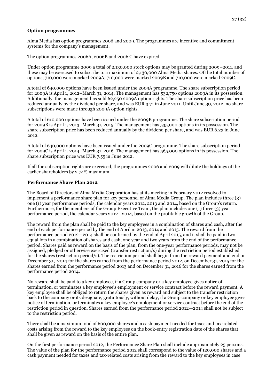## **Option programmes**

Alma Media has option programmes 2006 and 2009. The programmes are incentive and commitment systems for the company's management.

The option programmes 2006A, 2006B and 2006 C have expired.

Under option programme 2009 a total of 2,130,000 stock options may be granted during 2009–2011, and these may be exercised to subscribe to a maximum of 2,130,000 Alma Media shares. Of the total number of options, 710,000 were marked 2009A, 710,000 were marked 2009B and 710,000 were marked 2009C.

A total of 640,000 options have been issued under the 2009A programme. The share subscription period for 2009A is April 1, 2012–March 31, 2014. The management has 532,750 options 2009A in its possession. Additionally, the management has sold 62,250 2009A option rights. The share subscription price has been reduced annually by the dividend per share, and was EUR 3.71 in June 2011. Until June 30, 2012, no share subscriptions were made through 2009A option rights.

A total of 610,000 options have been issued under the 2009B programme. The share subscription period for 2009B is April 1, 2013–March 31, 2015. The management has 535,000 options in its possession. The share subscription price has been reduced annually by the dividend per share, and was EUR 6.23 in June 2012.

A total of 640,000 options have been issued under the 2009C programme. The share subscription period for 2009C is April 1, 2014–March 31, 2016. The management has 565,000 options in its possession. The share subscription price was EUR 7.55 in June 2012.

If all the subscription rights are exercised, the programmes 2006 and 2009 will dilute the holdings of the earlier shareholders by 2.74% maximum.

#### **Performance Share Plan 2012**

The Board of Directors of Alma Media Corporation has at its meeting in February 2012 resolved to implement a performance share plan for key personnel of Alma Media Group. The plan includes three (3) one (1) year performance periods, the calendar years 2012, 2013 and 2014, based on the Group's return. Furthermore, for the members of the Group Executive Team, the plan includes one (1) three (3) year performance period, the calendar years 2012—2014, based on the profitable growth of the Group.

The reward from the plan shall be paid to the key employees in a combination of shares and cash, after the end of each performance period by the end of April in 2013, 2014 and 2015. The reward from the performance period 2012—2014 shall be confirmed by the end of April 2015, and it shall be paid in two equal lots in a combination of shares and cash, one year and two years from the end of the performance period. Shares paid as reward on the basis of the plan, from the one-year performance periods, may not be assigned, pledged or otherwise exercised (transfer restriction/s) during the restriction period established for the shares (restriction period/s). The restriction period shall begin from the reward payment and end on December 31, 2014 for the shares earned from the performance period 2012, on December 31, 2015 for the shares earned from the performance period 2013 and on December 31, 2016 for the shares earned from the performance period 2014.

No reward shall be paid to a key employee, if a Group company or a key employee gives notice of termination, or terminates a key employee's employment or service contract before the reward payment. A key employee shall be obliged to return the shares given as reward and subject to the transfer restriction back to the company or its designate, gratuitously, without delay, if a Group company or key employee gives notice of termination, or terminates a key employee's employment or service contract before the end of the restriction period in question. Shares earned from the performance period 2012—2014 shall not be subject to the restriction period.

There shall be a maximum total of 600,000 shares and a cash payment needed for taxes and tax-related costs arising from the reward to the key employees on the book-entry registration date of the shares that shall be given as reward on the basis of the entire plan.

On the first performance period 2012, the Performance Share Plan shall include approximately 25 persons. The value of the plan for the performance period 2012 shall correspond to the value of 120,000 shares and a cash payment needed for taxes and tax-related costs arising from the reward to the key employees in case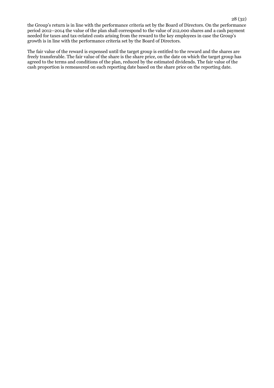the Group's return is in line with the performance criteria set by the Board of Directors. On the performance period 2012–2014 the value of the plan shall correspond to the value of 212,000 shares and a cash payment needed for taxes and tax-related costs arising from the reward to the key employees in case the Group's growth is in line with the performance criteria set by the Board of Directors.

The fair value of the reward is expensed until the target group is entitled to the reward and the shares are freely transferable. The fair value of the share is the share price, on the date on which the target group has agreed to the terms and conditions of the plan, reduced by the estimated dividends. The fair value of the cash proportion is remeasured on each reporting date based on the share price on the reporting date.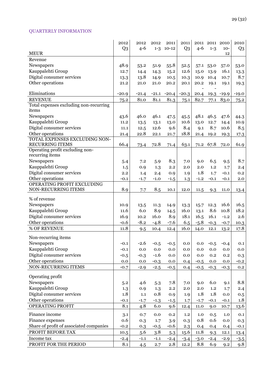# QUARTERLY INFORMATION

|                                                           | 2012<br>Q <sub>3</sub> | 2012<br>$4 - 6$ | 2012<br>$1 - 3$ | 2011<br>$10-12$ | 2011<br>Q <sub>3</sub> | $4 - 6$      | 2011 2011 2010<br>$1 - 3$ | $10-$      | 2010<br>Q <sub>3</sub> |
|-----------------------------------------------------------|------------------------|-----------------|-----------------|-----------------|------------------------|--------------|---------------------------|------------|------------------------|
| <b>MEUR</b>                                               |                        |                 |                 |                 |                        |              |                           | 12         |                        |
| Revenue                                                   |                        |                 |                 |                 |                        |              |                           |            |                        |
| Newspapers                                                | 48.9                   | 53.2            | 51.9            | 55.8            | 52.5                   |              | 57.1 53.0                 | 57.0       | 53.0                   |
| Kauppalehti Group                                         | 12.7                   | 14.4            | 14.3            | 15.2            | 12.6                   | 15.0         | 13.9                      | 16.1       | 13.3                   |
| Digital consumer services                                 | 13.3                   | 13.8            | 14.9            | 10.5            | 10.3                   | 10.9         | 10.4                      | 10.7       | 8.7                    |
| Other operations                                          | 21.2                   | 21.0            | 21.0            | 20.2            | 20.1                   | 20.2         | 19.1                      | 19.1       | 19.3                   |
|                                                           |                        |                 |                 |                 |                        |              |                           |            |                        |
| Eliminations                                              | $-20.9$                | $-21.4$         | $-21.1$         | $-20.4$         | $-20.3$                | 20.4         |                           | 19.3 -19.9 | $-19.0$                |
| <b>REVENUE</b>                                            | 75.2                   | 81.0            | 81.1            | 81.3            | 75.1                   | 82.7         | 77.1                      | 83.0       | 75.2                   |
| Total expenses excluding non-recurring                    |                        |                 |                 |                 |                        |              |                           |            |                        |
| items                                                     |                        |                 |                 |                 |                        |              |                           |            |                        |
| Newspapers                                                | 43.6                   | 46.0            | 46.1            | 47.5            | 45.5                   | 48.1         | 46.5                      | 47.6       | 44.3                   |
| Kauppalehti Group                                         | 11.2                   | 13.5            | 13.1            | 13.0            | 10.6                   | 13.0         | 12.7                      | 14.4       | 10.9                   |
| Digital consumer services                                 | 11.1                   | 12.5            | 12.6            | 9.6             | 8.4                    | 9.1          | 8.7                       | 10.6       | 8.5                    |
| Other operations                                          | 21.4                   | 22.8            | 22.1            | 21.7            | 18.8                   | 21.4         | 19.2                      | 19.3       | 17.3                   |
| TOTAL EXPENSES EXCLUDING NON-                             |                        |                 |                 |                 |                        |              |                           |            |                        |
| <b>RECURRING ITEMS</b><br>Operating profit excluding non- | 66.4                   | 73.4            | 72.8            | 71.4            | 63.1                   | 71.2         | 67.8                      | 72.0       | 61.9                   |
| recurring items                                           |                        |                 |                 |                 |                        |              |                           |            |                        |
| Newspapers                                                | 5.4                    | 7.2             | 5.9             | 8.3             | 7.0                    | 9.0          | 6.5                       | 9.5        | 8.7                    |
| Kauppalehti Group                                         | 1.5                    | 0.9             | 1.3             | 2.2             | 2.0                    | 2.0          | 1.2                       | 1.7        | 2.4                    |
| Digital consumer services                                 | 2.2                    | 1.4             | 2.4             | 0.9             | 1.9                    | 1.8          | 1.7                       | $-0.1$     | 0.2                    |
| Other operations                                          | $-0.1$                 | $-1.7$          | $-1.0$          | $-1.5$          | 1.3                    | $-1.2$       | $-0.1$                    | $-0.1$     | 2.0                    |
| OPERATING PROFIT EXCLUDING                                |                        |                 |                 |                 |                        |              |                           |            |                        |
| NON-RECURRING ITEMS                                       | 8.9                    | 7.7             | 8.5             | 10.1            | 12.0                   | 11.5         | 9.3                       | 11.0       | 13.4                   |
| % of revenue                                              |                        |                 |                 |                 |                        |              |                           |            |                        |
|                                                           |                        |                 |                 |                 |                        |              |                           | 16.6       | 16.5                   |
| Newspapers<br>Kauppalehti Group                           | 10.9<br>11.6           | 13.5<br>6.0     | 11.3<br>8.9     | 14.9            | 13.3<br>16.0           | 15.7         | 12.3<br>8.6               | 10.8       | 18.2                   |
| Digital consumer services                                 | 16.9                   | 10.2            | 16.0            | 14.5<br>8.9     | 18.1                   | 13.1<br>16.5 | 16.1                      | $-1.2$     | 2.6                    |
| Other operations                                          |                        | $-8.2$          |                 |                 |                        |              |                           |            |                        |
| % OF REVENUE                                              | $-0.6$                 |                 | $-4.8$          | $-7.6$          | 6.5                    | $-5.8$       | $-0.3$                    | $-0.7$     | 10.3                   |
|                                                           | 11.8                   | 9.5             | 10.4            | 12.4            | 16.0                   | 14.0         | 12.1                      | 13.2       | 17.8                   |
| Non-recurring items                                       |                        |                 |                 |                 |                        |              |                           |            |                        |
| Newspapers                                                | $-0.1$                 | $-2.6$          | $-0.5$          | $-0.5$          | 0.0                    | 0.0          | $-0.5$                    | $-0.4$     | 0.1                    |
| Kauppalehti Group                                         | $-0.1$                 | 0.0             | $0.0\,$         | $0.0\,$         | $0.0\,$                | 0.0          | 0.0                       | $0.0\,$    | 0.0                    |
| Digital consumer services                                 | $-0.5$                 | $-0.3$          | $-1.6$          | 0.0             | 0.0                    | 0.0          | 0.2                       | 0.2        | 0.3                    |
| Other operations                                          | 0.0                    | 0.0             | $-0.3$          | 0.0             | 0.4                    | $-0.5$       | 0.0                       | 0.0        | $-0.2$                 |
| NON-RECURRING ITEMS                                       | $-0.7$                 | $-2.9$          | $-2.5$          | $-0.5$          | 0.4                    | $-0.5$       | $-0.3$                    | $-0.3$     | 0.2                    |
|                                                           |                        |                 |                 |                 |                        |              |                           |            |                        |
| Operating profit                                          |                        |                 |                 |                 |                        |              |                           |            |                        |
| Newspapers                                                | 5.2                    | 4.6             | 5.3             | 7.8             | 7.0                    | 9.0          | 6.0                       | 9.1        | 8.8                    |
| Kauppalehti Group                                         | 1.3                    | 0.9             | 1.3             | 2.2             | 2.0                    | 2.0          | $1.2\,$                   | 1.7        | 2.4                    |
| Digital consumer services                                 | 1.8                    | 1.1             | 0.8             | 0.9             | 1.9                    | 1.8          | 1.8                       | 0.0        | 0.5                    |
| Other operations                                          | $-0.1$                 | $-1.7$          | $-1.3$          | $-1.5$          | 1.7                    | $-1.7$       | $-0.1$                    | $-0.1$     | 1.8                    |
| OPERATING PROFIT                                          | 8.1                    | 4.8             | 6.0             | 9.6             | 12.4                   | 11.0         | 9.0                       | 10.7       | 13.6                   |
| Finance income                                            | 3.1                    | 0.7             | 0.0             | 0.2             | 1.2                    | 1.0          | 0.5                       | 1.0        | 0.1                    |
| Finance expenses                                          | 0.6                    | 0.3             | 1.7             | 3.9             | 0.3                    | 0.8          | 0.6                       | 0.0        | 0.3                    |
| Share of profit of associated companies                   | $-0.2$                 | 0.3             | $-0.5$          | $-0.6$          | 2.3                    | 0.4          | 0.4                       | 0.4        | $-0.1$                 |
| PROFIT BEFORE TAX                                         | 10.5                   | 5.6             | 3.8             | 5.3             | 15.6                   | 11.8         | 9.3                       | 12.1       | 13.4                   |
| Income tax                                                | $-2.4$                 | $-1.1$          | $-1.1$          | $-2.4$          | $-3.4$                 | $-3.0$       | $-2.4$                    | $-2.9$     | $-3.5$                 |
| PROFIT FOR THE PERIOD                                     | 8.1                    | 4.5             | 2.7             | 2.8             | 12.2                   | 8.8          | 6.9                       | 9.2        | 9.8                    |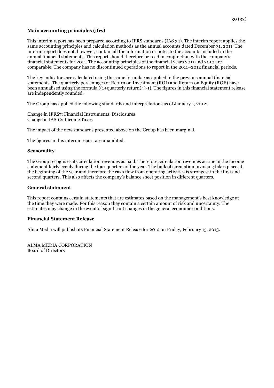#### **Main accounting principles (ifrs)**

This interim report has been prepared according to IFRS standards (IAS 34). The interim report applies the same accounting principles and calculation methods as the annual accounts dated December 31, 2011. The interim report does not, however, contain all the information or notes to the accounts included in the annual financial statements. This report should therefore be read in conjunction with the company's financial statements for 2011. The accounting principles of the financial years 2011 and 2010 are comparable. The company has no discontinued operations to report in the 2011–2012 financial periods.

The key indicators are calculated using the same formulae as applied in the previous annual financial statements. The quarterly percentages of Return on Investment (ROI) and Return on Equity (ROE) have been annualised using the formula ((1+quarterly return)4)-1). The figures in this financial statement release are independently rounded.

The Group has applied the following standards and interpretations as of January 1, 2012:

Change in IFRS7: Financial Instruments: Disclosures Change in IAS 12: Income Taxes

The impact of the new standards presented above on the Group has been marginal.

The figures in this interim report are unaudited.

#### **Seasonality**

The Group recognises its circulation revenues as paid. Therefore, circulation revenues accrue in the income statement fairly evenly during the four quarters of the year. The bulk of circulation invoicing takes place at the beginning of the year and therefore the cash flow from operating activities is strongest in the first and second quarters. This also affects the company's balance sheet position in different quarters.

#### **General statement**

This report contains certain statements that are estimates based on the management's best knowledge at the time they were made. For this reason they contain a certain amount of risk and uncertainty. The estimates may change in the event of significant changes in the general economic conditions.

#### **Financial Statement Release**

Alma Media will publish its Financial Statement Release for 2012 on Friday, February 15, 2013.

ALMA MEDIA CORPORATION Board of Directors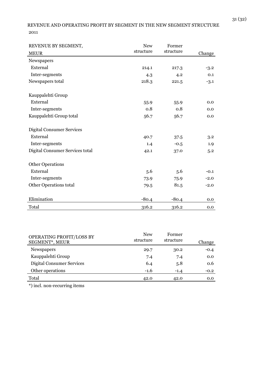# REVENUE AND OPERATING PROFIT BY SEGMENT IN THE NEW SEGMENT STRUCTURE 2011

| REVENUE BY SEGMENT,              | <b>New</b> | Former    |        |  |
|----------------------------------|------------|-----------|--------|--|
| <b>MEUR</b>                      | structure  | structure | Change |  |
| Newspapers                       |            |           |        |  |
| External                         | 214.1      | 217.3     | $-3.2$ |  |
| Inter-segments                   | 4.3        | 4.2       | 0.1    |  |
| Newspapers total                 | 218.3      | 221.5     | $-3.1$ |  |
| Kauppalehti Group                |            |           |        |  |
| External                         | 55.9       | 55.9      | 0.0    |  |
| Inter-segments                   | 0.8        | 0.8       | 0.0    |  |
| Kauppalehti Group total          | 56.7       | 56.7      | 0.0    |  |
| <b>Digital Consumer Services</b> |            |           |        |  |
| External                         | 40.7       | 37.5      | 3.2    |  |
| Inter-segments                   | 1.4        | $-0.5$    | 1.9    |  |
| Digital Consumer Services total  | 42.1       | 37.0      | 5.2    |  |
| <b>Other Operations</b>          |            |           |        |  |
| External                         | 5.6        | 5.6       | $-0.1$ |  |
| Inter-segments                   | 73.9       | 75.9      | $-2.0$ |  |
| Other Operations total           | 79.5       | 81.5      | $-2.0$ |  |
| Elimination                      | $-80.4$    | $-80.4$   | 0.0    |  |
| Total                            | 316.2      | 316.2     | 0.0    |  |

| OPERATING PROFIT/LOSS BY<br>SEGMENT*, MEUR | <b>New</b><br>structure | Former<br>structure | Change |
|--------------------------------------------|-------------------------|---------------------|--------|
| <b>Newspapers</b>                          | 29.7                    | 30.2                | $-0.4$ |
| Kauppalehti Group                          | 7.4                     | 7.4                 | 0.0    |
| <b>Digital Consumer Services</b>           | 6.4                     | 5.8                 | 0.6    |
| Other operations                           | $-1.6$                  | $-1.4$              | $-0.2$ |
| Total                                      | 42.0                    | 42.0                | 0.0    |

\*) incl. non-recurring items